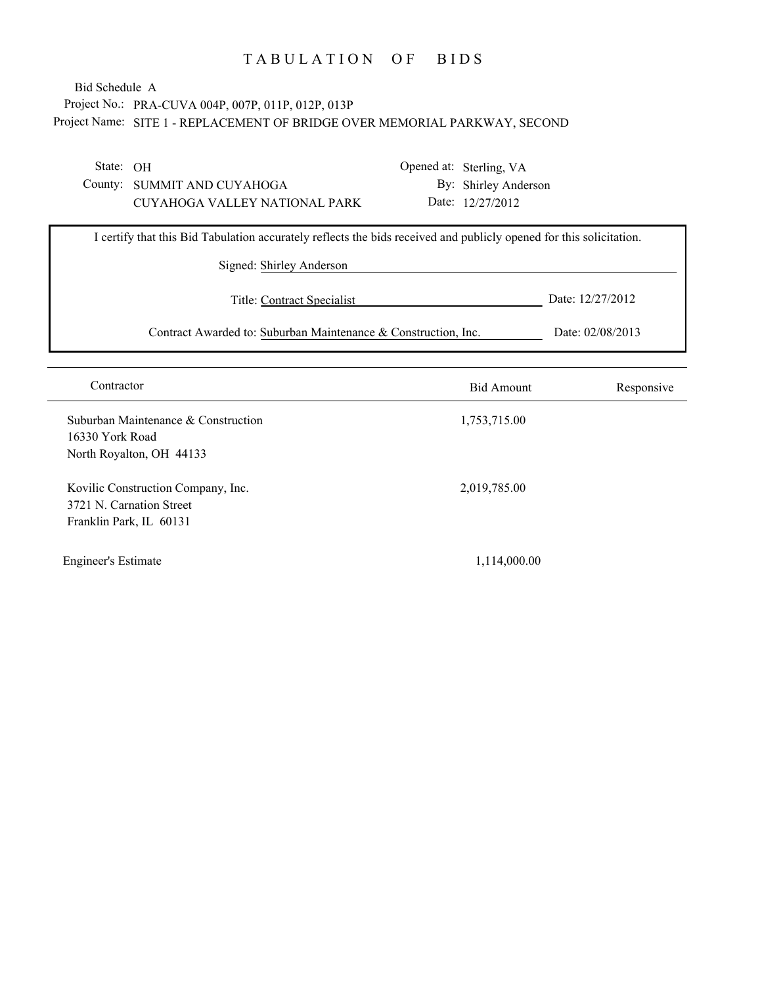## Project No.: PRA-CUVA 004P, 007P, 011P, 012P, 013P Project Name: SITE 1 - REPLACEMENT OF BRIDGE OVER MEMORIAL PARKWAY, SECOND Bid Schedule A

State: OH

County: SUMMIT AND CUYAHOGA CUYAHOGA VALLEY NATIONAL PARK Opened at: Sterling, VA By: Shirley Anderson Date: 12/27/2012

| I certify that this Bid Tabulation accurately reflects the bids received and publicly opened for this solicitation. |                    |  |  |  |
|---------------------------------------------------------------------------------------------------------------------|--------------------|--|--|--|
| Signed: Shirley Anderson                                                                                            |                    |  |  |  |
| Title: Contract Specialist                                                                                          | Date: $12/27/2012$ |  |  |  |
| Contract Awarded to: Suburban Maintenance & Construction, Inc.                                                      | Date: 02/08/2013   |  |  |  |

| Contractor                                                                                | <b>Bid Amount</b> | Responsive |
|-------------------------------------------------------------------------------------------|-------------------|------------|
| Suburban Maintenance & Construction<br>16330 York Road<br>North Royalton, OH 44133        | 1,753,715.00      |            |
| Kovilic Construction Company, Inc.<br>3721 N. Carnation Street<br>Franklin Park, IL 60131 | 2,019,785.00      |            |
| <b>Engineer's Estimate</b>                                                                | 1,114,000.00      |            |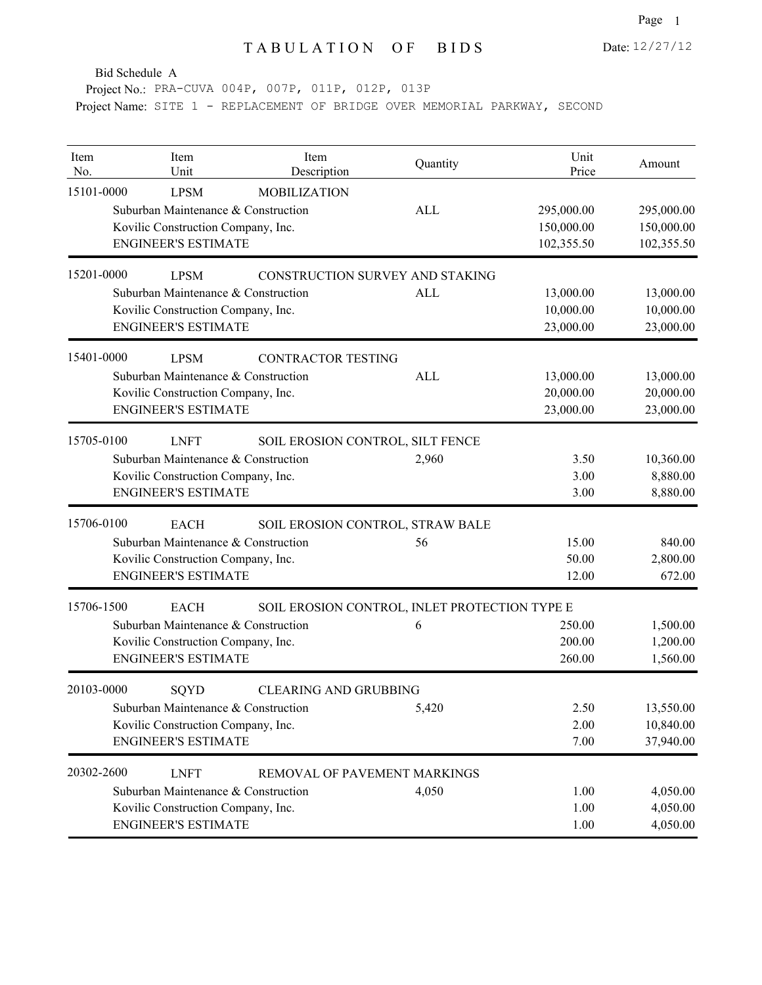Project No.: PRA-CUVA 004P, 007P, 011P, 012P, 013P

| Item<br>No. | Item<br>Unit                                                                                                           | Item<br>Description                           | Quantity   | Unit<br>Price                          | Amount                                 |
|-------------|------------------------------------------------------------------------------------------------------------------------|-----------------------------------------------|------------|----------------------------------------|----------------------------------------|
| 15101-0000  | <b>LPSM</b><br>Suburban Maintenance & Construction<br>Kovilic Construction Company, Inc.<br><b>ENGINEER'S ESTIMATE</b> | <b>MOBILIZATION</b>                           | ALL        | 295,000.00<br>150,000.00<br>102,355.50 | 295,000.00<br>150,000.00<br>102,355.50 |
| 15201-0000  | <b>LPSM</b>                                                                                                            | CONSTRUCTION SURVEY AND STAKING               |            |                                        |                                        |
|             | Suburban Maintenance & Construction<br>Kovilic Construction Company, Inc.<br><b>ENGINEER'S ESTIMATE</b>                |                                               | <b>ALL</b> | 13,000.00<br>10,000.00<br>23,000.00    | 13,000.00<br>10,000.00<br>23,000.00    |
| 15401-0000  | <b>LPSM</b><br>Suburban Maintenance & Construction<br>Kovilic Construction Company, Inc.<br><b>ENGINEER'S ESTIMATE</b> | <b>CONTRACTOR TESTING</b>                     | ALL        | 13,000.00<br>20,000.00<br>23,000.00    | 13,000.00<br>20,000.00<br>23,000.00    |
| 15705-0100  | <b>LNFT</b><br>Suburban Maintenance & Construction<br>Kovilic Construction Company, Inc.<br><b>ENGINEER'S ESTIMATE</b> | SOIL EROSION CONTROL, SILT FENCE              | 2,960      | 3.50<br>3.00<br>3.00                   | 10,360.00<br>8,880.00<br>8,880.00      |
| 15706-0100  | <b>EACH</b>                                                                                                            | SOIL EROSION CONTROL, STRAW BALE              |            |                                        |                                        |
|             | Suburban Maintenance & Construction<br>Kovilic Construction Company, Inc.<br><b>ENGINEER'S ESTIMATE</b>                |                                               | 56         | 15.00<br>50.00<br>12.00                | 840.00<br>2,800.00<br>672.00           |
| 15706-1500  | <b>EACH</b>                                                                                                            | SOIL EROSION CONTROL, INLET PROTECTION TYPE E |            |                                        |                                        |
|             | Suburban Maintenance & Construction<br>Kovilic Construction Company, Inc.<br><b>ENGINEER'S ESTIMATE</b>                |                                               | 6          | 250.00<br>200.00<br>260.00             | 1,500.00<br>1,200.00<br>1,560.00       |
| 20103-0000  | SQYD                                                                                                                   | <b>CLEARING AND GRUBBING</b>                  |            |                                        |                                        |
|             | Suburban Maintenance & Construction<br>Kovilic Construction Company, Inc.<br><b>ENGINEER'S ESTIMATE</b>                |                                               | 5,420      | 2.50<br>2.00<br>7.00                   | 13,550.00<br>10,840.00<br>37,940.00    |
| 20302-2600  | <b>LNFT</b><br>Suburban Maintenance & Construction<br>Kovilic Construction Company, Inc.<br><b>ENGINEER'S ESTIMATE</b> | REMOVAL OF PAVEMENT MARKINGS                  | 4,050      | 1.00<br>1.00<br>1.00                   | 4,050.00<br>4,050.00<br>4,050.00       |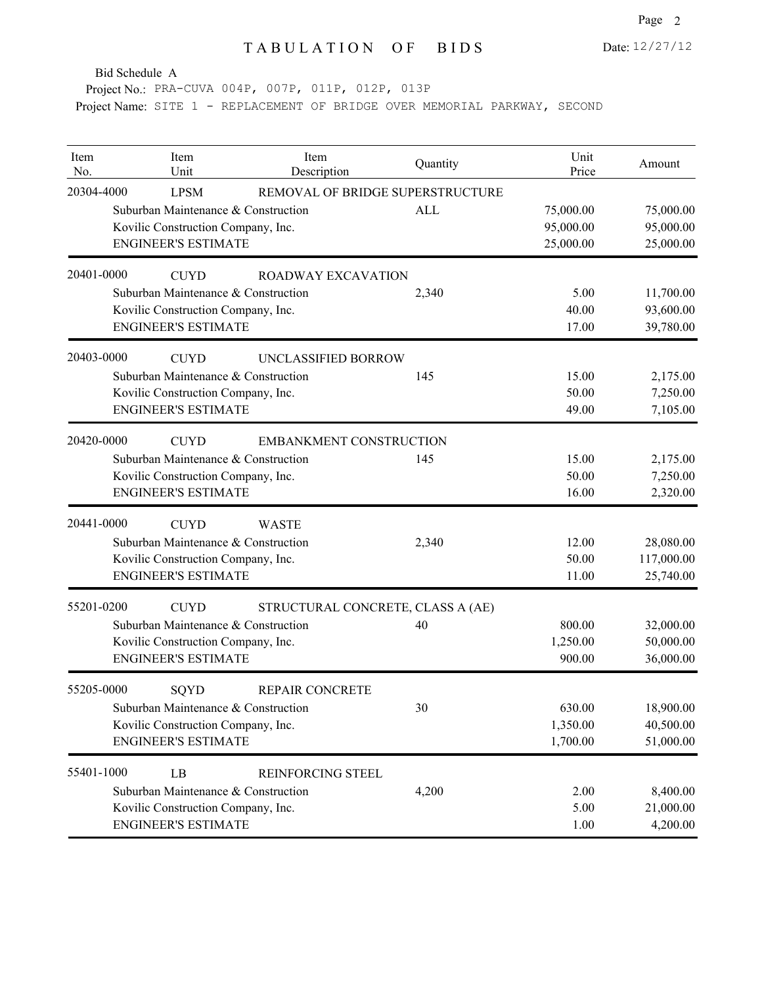Page 2

Bid Schedule A

Project No.: PRA-CUVA 004P, 007P, 011P, 012P, 013P

| Item<br>No. | Item<br>Unit                        | Item<br>Description               | Quantity   | Unit<br>Price | Amount     |
|-------------|-------------------------------------|-----------------------------------|------------|---------------|------------|
| 20304-4000  | <b>LPSM</b>                         | REMOVAL OF BRIDGE SUPERSTRUCTURE  |            |               |            |
|             | Suburban Maintenance & Construction |                                   | <b>ALL</b> | 75,000.00     | 75,000.00  |
|             | Kovilic Construction Company, Inc.  |                                   |            | 95,000.00     | 95,000.00  |
|             | <b>ENGINEER'S ESTIMATE</b>          |                                   |            | 25,000.00     | 25,000.00  |
| 20401-0000  | <b>CUYD</b>                         | <b>ROADWAY EXCAVATION</b>         |            |               |            |
|             | Suburban Maintenance & Construction |                                   | 2,340      | 5.00          | 11,700.00  |
|             | Kovilic Construction Company, Inc.  |                                   |            | 40.00         | 93,600.00  |
|             | <b>ENGINEER'S ESTIMATE</b>          |                                   |            | 17.00         | 39,780.00  |
| 20403-0000  | <b>CUYD</b>                         | UNCLASSIFIED BORROW               |            |               |            |
|             | Suburban Maintenance & Construction |                                   | 145        | 15.00         | 2,175.00   |
|             | Kovilic Construction Company, Inc.  |                                   |            | 50.00         | 7,250.00   |
|             | <b>ENGINEER'S ESTIMATE</b>          |                                   |            | 49.00         | 7,105.00   |
| 20420-0000  | <b>CUYD</b>                         | <b>EMBANKMENT CONSTRUCTION</b>    |            |               |            |
|             | Suburban Maintenance & Construction |                                   | 145        | 15.00         | 2,175.00   |
|             | Kovilic Construction Company, Inc.  |                                   |            | 50.00         | 7,250.00   |
|             | <b>ENGINEER'S ESTIMATE</b>          |                                   |            | 16.00         | 2,320.00   |
| 20441-0000  | <b>CUYD</b>                         | <b>WASTE</b>                      |            |               |            |
|             | Suburban Maintenance & Construction |                                   | 2,340      | 12.00         | 28,080.00  |
|             | Kovilic Construction Company, Inc.  |                                   |            | 50.00         | 117,000.00 |
|             | <b>ENGINEER'S ESTIMATE</b>          |                                   |            | 11.00         | 25,740.00  |
| 55201-0200  | <b>CUYD</b>                         | STRUCTURAL CONCRETE, CLASS A (AE) |            |               |            |
|             | Suburban Maintenance & Construction |                                   | 40         | 800.00        | 32,000.00  |
|             | Kovilic Construction Company, Inc.  |                                   |            | 1,250.00      | 50,000.00  |
|             | <b>ENGINEER'S ESTIMATE</b>          |                                   |            | 900.00        | 36,000.00  |
| 55205-0000  | SQYD                                | REPAIR CONCRETE                   |            |               |            |
|             | Suburban Maintenance & Construction |                                   | 30         | 630.00        | 18,900.00  |
|             | Kovilic Construction Company, Inc.  |                                   |            | 1,350.00      | 40,500.00  |
|             | <b>ENGINEER'S ESTIMATE</b>          |                                   |            | 1,700.00      | 51,000.00  |
| 55401-1000  | LB                                  | <b>REINFORCING STEEL</b>          |            |               |            |
|             | Suburban Maintenance & Construction |                                   | 4,200      | 2.00          | 8,400.00   |
|             | Kovilic Construction Company, Inc.  |                                   |            | 5.00          | 21,000.00  |
|             | <b>ENGINEER'S ESTIMATE</b>          |                                   |            | 1.00          | 4,200.00   |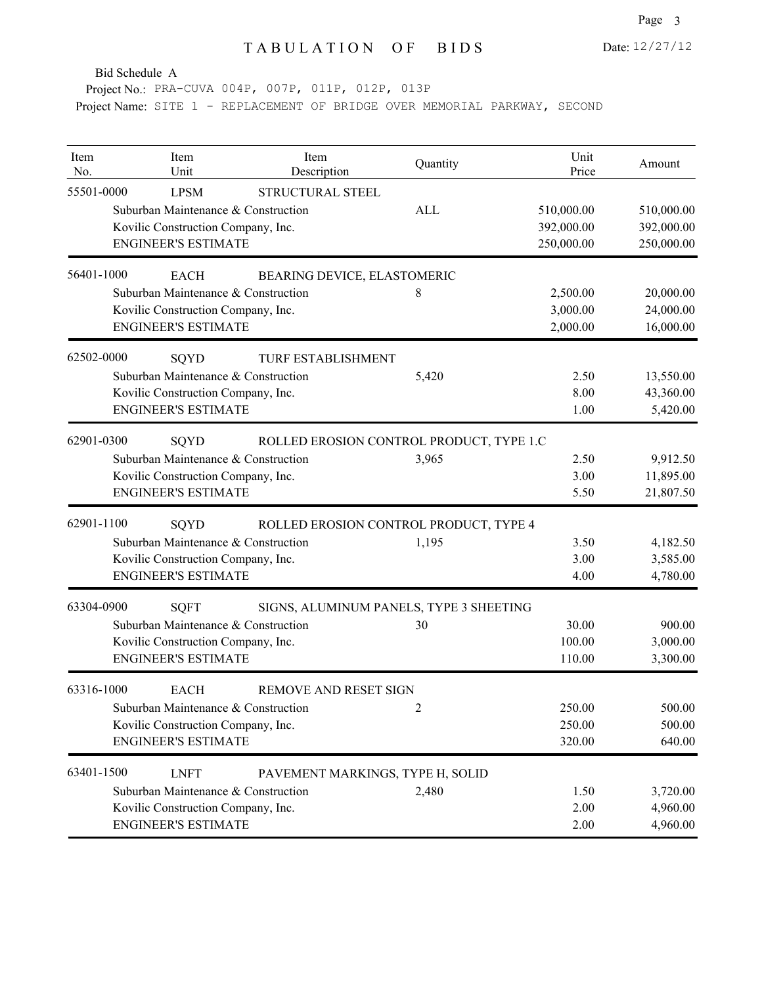Page 3

Bid Schedule A

Project No.: PRA-CUVA 004P, 007P, 011P, 012P, 013P

| Item<br>No. | Item<br>Unit                        | Item<br>Description                      | Quantity   | Unit<br>Price | Amount     |
|-------------|-------------------------------------|------------------------------------------|------------|---------------|------------|
| 55501-0000  | <b>LPSM</b>                         | STRUCTURAL STEEL                         |            |               |            |
|             | Suburban Maintenance & Construction |                                          | <b>ALL</b> | 510,000.00    | 510,000.00 |
|             | Kovilic Construction Company, Inc.  |                                          |            | 392,000.00    | 392,000.00 |
|             | <b>ENGINEER'S ESTIMATE</b>          |                                          |            | 250,000.00    | 250,000.00 |
| 56401-1000  | <b>EACH</b>                         | BEARING DEVICE, ELASTOMERIC              |            |               |            |
|             | Suburban Maintenance & Construction |                                          | 8          | 2,500.00      | 20,000.00  |
|             | Kovilic Construction Company, Inc.  |                                          |            | 3,000.00      | 24,000.00  |
|             | <b>ENGINEER'S ESTIMATE</b>          |                                          |            | 2,000.00      | 16,000.00  |
| 62502-0000  | SQYD                                | TURF ESTABLISHMENT                       |            |               |            |
|             | Suburban Maintenance & Construction |                                          | 5,420      | 2.50          | 13,550.00  |
|             | Kovilic Construction Company, Inc.  |                                          |            | 8.00          | 43,360.00  |
|             | <b>ENGINEER'S ESTIMATE</b>          |                                          |            | 1.00          | 5,420.00   |
| 62901-0300  | SQYD                                | ROLLED EROSION CONTROL PRODUCT, TYPE 1.C |            |               |            |
|             | Suburban Maintenance & Construction |                                          | 3,965      | 2.50          | 9,912.50   |
|             | Kovilic Construction Company, Inc.  |                                          |            | 3.00          | 11,895.00  |
|             | <b>ENGINEER'S ESTIMATE</b>          |                                          |            | 5.50          | 21,807.50  |
| 62901-1100  | SQYD                                | ROLLED EROSION CONTROL PRODUCT, TYPE 4   |            |               |            |
|             | Suburban Maintenance & Construction |                                          | 1,195      | 3.50          | 4,182.50   |
|             | Kovilic Construction Company, Inc.  |                                          |            | 3.00          | 3,585.00   |
|             | <b>ENGINEER'S ESTIMATE</b>          |                                          |            | 4.00          | 4,780.00   |
| 63304-0900  | <b>SQFT</b>                         | SIGNS, ALUMINUM PANELS, TYPE 3 SHEETING  |            |               |            |
|             | Suburban Maintenance & Construction |                                          | 30         | 30.00         | 900.00     |
|             | Kovilic Construction Company, Inc.  |                                          |            | 100.00        | 3,000.00   |
|             | <b>ENGINEER'S ESTIMATE</b>          |                                          |            | 110.00        | 3,300.00   |
| 63316-1000  | <b>EACH</b>                         | <b>REMOVE AND RESET SIGN</b>             |            |               |            |
|             | Suburban Maintenance & Construction |                                          |            | 250.00        | 500.00     |
|             | Kovilic Construction Company, Inc.  |                                          |            | 250.00        | 500.00     |
|             | <b>ENGINEER'S ESTIMATE</b>          |                                          |            | 320.00        | 640.00     |
| 63401-1500  | <b>LNFT</b>                         | PAVEMENT MARKINGS, TYPE H, SOLID         |            |               |            |
|             | Suburban Maintenance & Construction |                                          | 2,480      | 1.50          | 3,720.00   |
|             | Kovilic Construction Company, Inc.  |                                          |            | 2.00          | 4,960.00   |
|             | <b>ENGINEER'S ESTIMATE</b>          |                                          |            | 2.00          | 4,960.00   |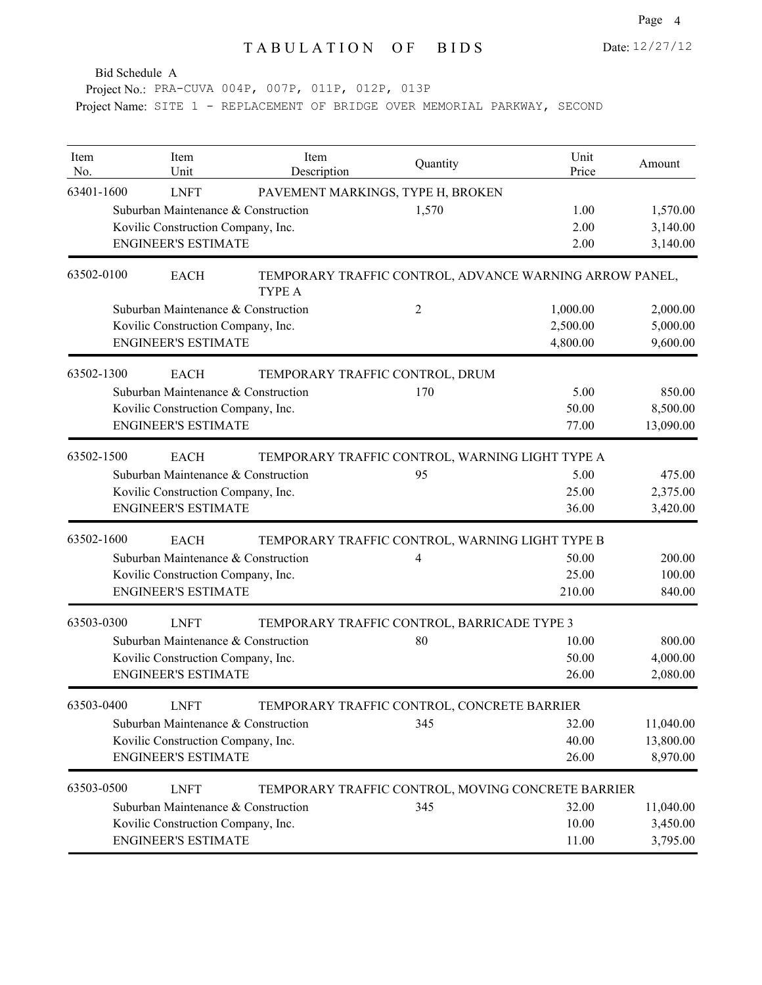Project No.: PRA-CUVA 004P, 007P, 011P, 012P, 013P

| Item<br>No. | Item<br>Unit                        | Item<br>Description                                               | Quantity                                    | Unit<br>Price | Amount    |
|-------------|-------------------------------------|-------------------------------------------------------------------|---------------------------------------------|---------------|-----------|
| 63401-1600  | <b>LNFT</b>                         | PAVEMENT MARKINGS, TYPE H, BROKEN                                 |                                             |               |           |
|             | Suburban Maintenance & Construction |                                                                   | 1,570                                       | 1.00          | 1,570.00  |
|             | Kovilic Construction Company, Inc.  |                                                                   |                                             | 2.00          | 3,140.00  |
|             | <b>ENGINEER'S ESTIMATE</b>          |                                                                   |                                             | 2.00          | 3,140.00  |
| 63502-0100  | <b>EACH</b>                         | TEMPORARY TRAFFIC CONTROL, ADVANCE WARNING ARROW PANEL,<br>TYPE A |                                             |               |           |
|             | Suburban Maintenance & Construction |                                                                   | 2                                           | 1,000.00      | 2,000.00  |
|             | Kovilic Construction Company, Inc.  |                                                                   |                                             | 2,500.00      | 5,000.00  |
|             | <b>ENGINEER'S ESTIMATE</b>          |                                                                   |                                             | 4,800.00      | 9,600.00  |
| 63502-1300  | <b>EACH</b>                         | TEMPORARY TRAFFIC CONTROL, DRUM                                   |                                             |               |           |
|             | Suburban Maintenance & Construction |                                                                   | 170                                         | 5.00          | 850.00    |
|             | Kovilic Construction Company, Inc.  |                                                                   |                                             | 50.00         | 8,500.00  |
|             | <b>ENGINEER'S ESTIMATE</b>          |                                                                   |                                             | 77.00         | 13,090.00 |
| 63502-1500  | <b>EACH</b>                         | TEMPORARY TRAFFIC CONTROL, WARNING LIGHT TYPE A                   |                                             |               |           |
|             | Suburban Maintenance & Construction |                                                                   | 95                                          | 5.00          | 475.00    |
|             | Kovilic Construction Company, Inc.  |                                                                   |                                             | 25.00         | 2,375.00  |
|             | <b>ENGINEER'S ESTIMATE</b>          |                                                                   |                                             | 36.00         | 3,420.00  |
| 63502-1600  | <b>EACH</b>                         | TEMPORARY TRAFFIC CONTROL, WARNING LIGHT TYPE B                   |                                             |               |           |
|             | Suburban Maintenance & Construction |                                                                   | 4                                           | 50.00         | 200.00    |
|             | Kovilic Construction Company, Inc.  |                                                                   |                                             | 25.00         | 100.00    |
|             | <b>ENGINEER'S ESTIMATE</b>          |                                                                   |                                             | 210.00        | 840.00    |
| 63503-0300  | <b>LNFT</b>                         | TEMPORARY TRAFFIC CONTROL, BARRICADE TYPE 3                       |                                             |               |           |
|             | Suburban Maintenance & Construction |                                                                   | 80                                          | 10.00         | 800.00    |
|             | Kovilic Construction Company, Inc.  |                                                                   |                                             | 50.00         | 4,000.00  |
|             | <b>ENGINEER'S ESTIMATE</b>          |                                                                   |                                             | 26.00         | 2,080.00  |
| 63503-0400  | <b>LNFT</b>                         |                                                                   | TEMPORARY TRAFFIC CONTROL, CONCRETE BARRIER |               |           |
|             | Suburban Maintenance & Construction |                                                                   | 345                                         | 32.00         | 11,040.00 |
|             | Kovilic Construction Company, Inc.  |                                                                   |                                             | 40.00         | 13,800.00 |
|             | <b>ENGINEER'S ESTIMATE</b>          |                                                                   |                                             | 26.00         | 8,970.00  |
| 63503-0500  | <b>LNFT</b>                         | TEMPORARY TRAFFIC CONTROL, MOVING CONCRETE BARRIER                |                                             |               |           |
|             | Suburban Maintenance & Construction |                                                                   | 345                                         | 32.00         | 11,040.00 |
|             | Kovilic Construction Company, Inc.  |                                                                   |                                             | 10.00         | 3,450.00  |
|             | <b>ENGINEER'S ESTIMATE</b>          |                                                                   |                                             | 11.00         | 3,795.00  |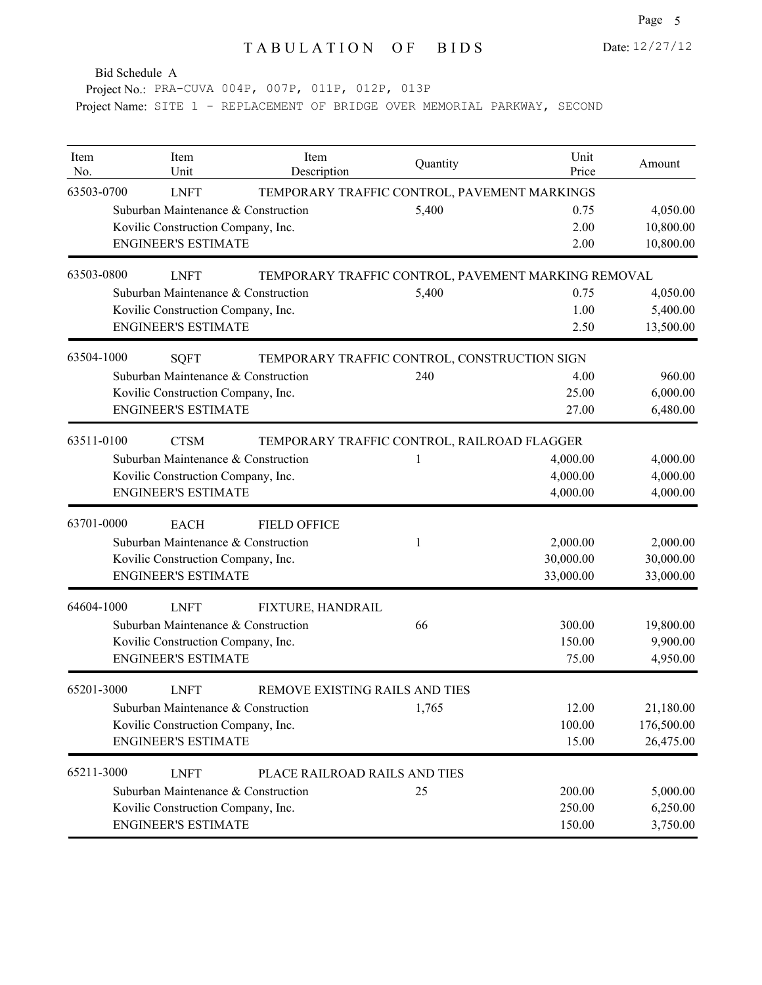Project No.: PRA-CUVA 004P, 007P, 011P, 012P, 013P Project Name: SITE 1 - REPLACEMENT OF BRIDGE OVER MEMORIAL PARKWAY, SECOND

| Item<br>No. | Item<br>Unit                        | Item<br>Description            | Quantity                                            | Unit<br>Price | Amount     |
|-------------|-------------------------------------|--------------------------------|-----------------------------------------------------|---------------|------------|
| 63503-0700  | <b>LNFT</b>                         |                                | TEMPORARY TRAFFIC CONTROL, PAVEMENT MARKINGS        |               |            |
|             | Suburban Maintenance & Construction |                                | 5,400                                               | 0.75          | 4,050.00   |
|             | Kovilic Construction Company, Inc.  |                                |                                                     | 2.00          | 10,800.00  |
|             | <b>ENGINEER'S ESTIMATE</b>          |                                |                                                     | 2.00          | 10,800.00  |
| 63503-0800  | <b>LNFT</b>                         |                                | TEMPORARY TRAFFIC CONTROL, PAVEMENT MARKING REMOVAL |               |            |
|             | Suburban Maintenance & Construction |                                | 5,400                                               | 0.75          | 4,050.00   |
|             | Kovilic Construction Company, Inc.  |                                |                                                     | 1.00          | 5,400.00   |
|             | <b>ENGINEER'S ESTIMATE</b>          |                                |                                                     | 2.50          | 13,500.00  |
| 63504-1000  | <b>SQFT</b>                         |                                | TEMPORARY TRAFFIC CONTROL, CONSTRUCTION SIGN        |               |            |
|             | Suburban Maintenance & Construction |                                | 240                                                 | 4.00          | 960.00     |
|             | Kovilic Construction Company, Inc.  |                                |                                                     | 25.00         | 6,000.00   |
|             | <b>ENGINEER'S ESTIMATE</b>          |                                |                                                     | 27.00         | 6,480.00   |
| 63511-0100  | <b>CTSM</b>                         |                                | TEMPORARY TRAFFIC CONTROL, RAILROAD FLAGGER         |               |            |
|             | Suburban Maintenance & Construction |                                | 1                                                   | 4,000.00      | 4,000.00   |
|             | Kovilic Construction Company, Inc.  |                                |                                                     | 4,000.00      | 4,000.00   |
|             | <b>ENGINEER'S ESTIMATE</b>          |                                |                                                     | 4,000.00      | 4,000.00   |
| 63701-0000  | <b>EACH</b>                         | <b>FIELD OFFICE</b>            |                                                     |               |            |
|             | Suburban Maintenance & Construction |                                | 1                                                   | 2,000.00      | 2,000.00   |
|             | Kovilic Construction Company, Inc.  |                                |                                                     | 30,000.00     | 30,000.00  |
|             | <b>ENGINEER'S ESTIMATE</b>          |                                |                                                     | 33,000.00     | 33,000.00  |
| 64604-1000  | <b>LNFT</b>                         | FIXTURE, HANDRAIL              |                                                     |               |            |
|             | Suburban Maintenance & Construction |                                | 66                                                  | 300.00        | 19,800.00  |
|             | Kovilic Construction Company, Inc.  |                                |                                                     | 150.00        | 9,900.00   |
|             | <b>ENGINEER'S ESTIMATE</b>          |                                |                                                     | 75.00         | 4,950.00   |
| 65201-3000  | <b>LNFT</b>                         | REMOVE EXISTING RAILS AND TIES |                                                     |               |            |
|             | Suburban Maintenance & Construction |                                | 1,765                                               | 12.00         | 21,180.00  |
|             | Kovilic Construction Company, Inc.  |                                |                                                     | 100.00        | 176,500.00 |
|             | <b>ENGINEER'S ESTIMATE</b>          |                                |                                                     | 15.00         | 26,475.00  |
| 65211-3000  | <b>LNFT</b>                         | PLACE RAILROAD RAILS AND TIES  |                                                     |               |            |
|             | Suburban Maintenance & Construction |                                | 25                                                  | 200.00        | 5,000.00   |
|             | Kovilic Construction Company, Inc.  |                                |                                                     | 250.00        | 6,250.00   |
|             | <b>ENGINEER'S ESTIMATE</b>          |                                |                                                     | 150.00        | 3,750.00   |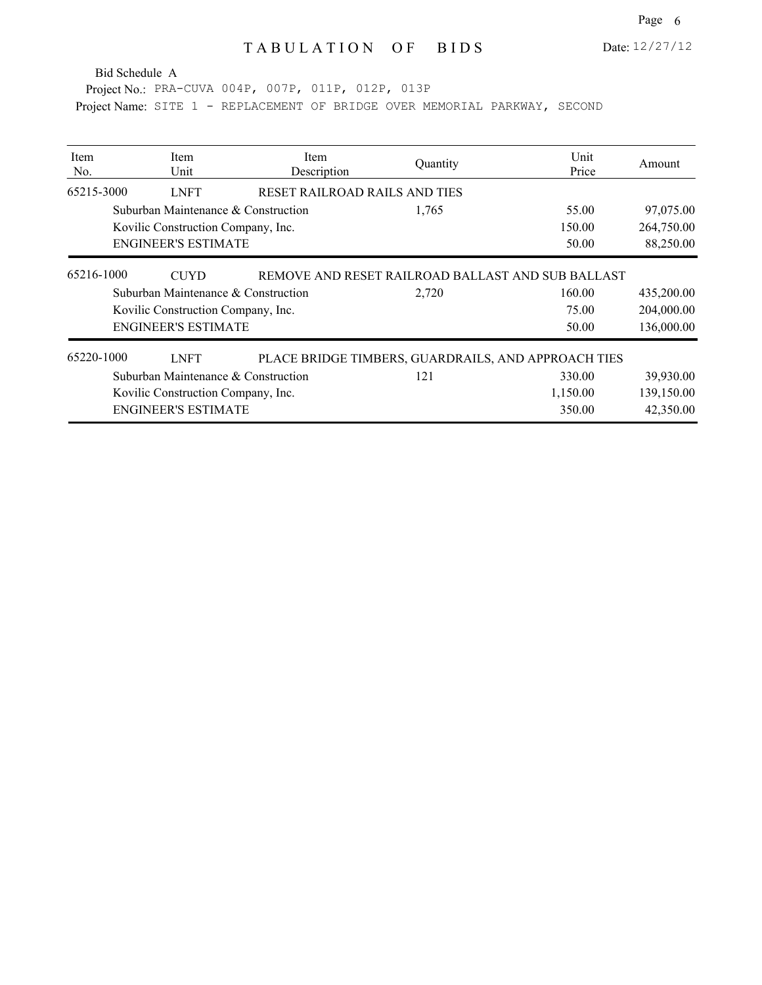Project No.: PRA-CUVA 004P, 007P, 011P, 012P, 013P

| Item<br>No. | <b>Item</b><br>Unit                 | <b>Item</b><br>Description    | Quantity                                            | Unit<br>Price | Amount     |
|-------------|-------------------------------------|-------------------------------|-----------------------------------------------------|---------------|------------|
| 65215-3000  | <b>LNFT</b>                         | RESET RAILROAD RAILS AND TIES |                                                     |               |            |
|             | Suburban Maintenance & Construction |                               | 1,765                                               | 55.00         | 97,075.00  |
|             | Kovilic Construction Company, Inc.  |                               |                                                     | 150.00        | 264,750.00 |
|             | <b>ENGINEER'S ESTIMATE</b>          |                               |                                                     | 50.00         | 88,250.00  |
| 65216-1000  | <b>CUYD</b>                         |                               | REMOVE AND RESET RAILROAD BALLAST AND SUB BALLAST   |               |            |
|             | Suburban Maintenance & Construction |                               | 2,720                                               | 160.00        | 435,200.00 |
|             | Kovilic Construction Company, Inc.  |                               |                                                     | 75.00         | 204,000.00 |
|             | <b>ENGINEER'S ESTIMATE</b>          |                               |                                                     | 50.00         | 136,000.00 |
| 65220-1000  | <b>LNFT</b>                         |                               | PLACE BRIDGE TIMBERS, GUARDRAILS, AND APPROACH TIES |               |            |
|             | Suburban Maintenance & Construction |                               | 121                                                 | 330.00        | 39,930.00  |
|             | Kovilic Construction Company, Inc.  |                               |                                                     | 1,150.00      | 139,150.00 |
|             | <b>ENGINEER'S ESTIMATE</b>          |                               |                                                     | 350.00        | 42,350.00  |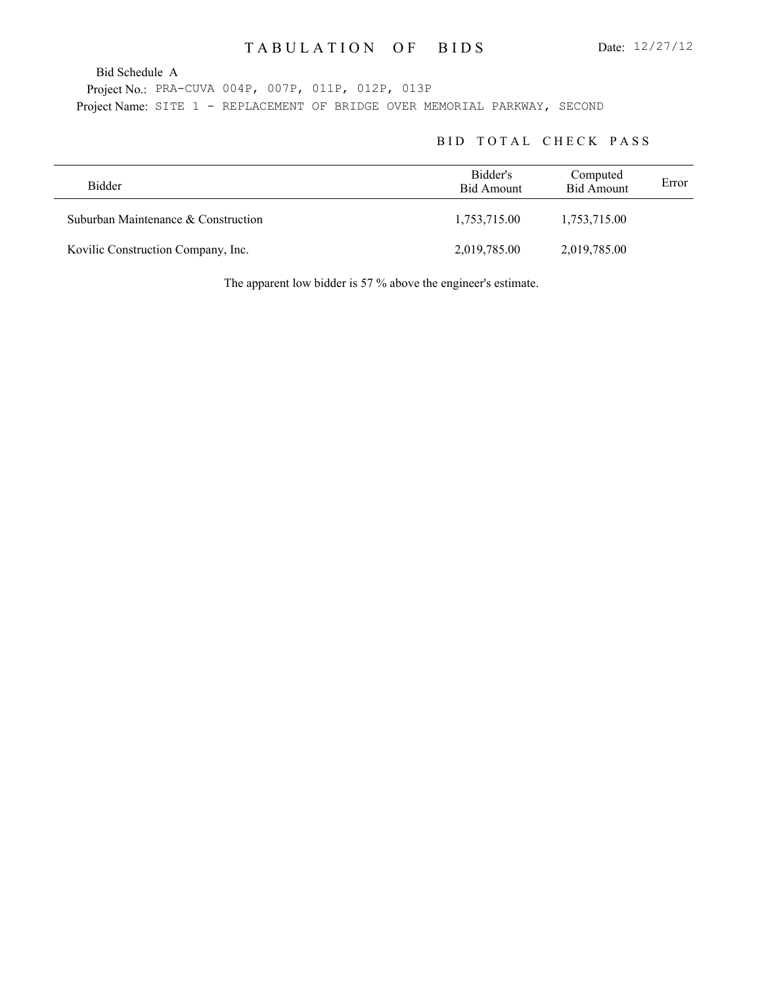Project No.: PRA-CUVA 004P, 007P, 011P, 012P, 013P Project Name: SITE 1 - REPLACEMENT OF BRIDGE OVER MEMORIAL PARKWAY, SECOND

#### BID TOTAL CHECK PASS

| <b>Bidder</b>                       | Bidder's<br><b>Bid Amount</b> | Computed<br><b>Bid Amount</b> | Error |
|-------------------------------------|-------------------------------|-------------------------------|-------|
| Suburban Maintenance & Construction | 1,753,715.00                  | 1,753,715.00                  |       |
| Kovilic Construction Company, Inc.  | 2,019,785.00                  | 2,019,785.00                  |       |

The apparent low bidder is 57 % above the engineer's estimate.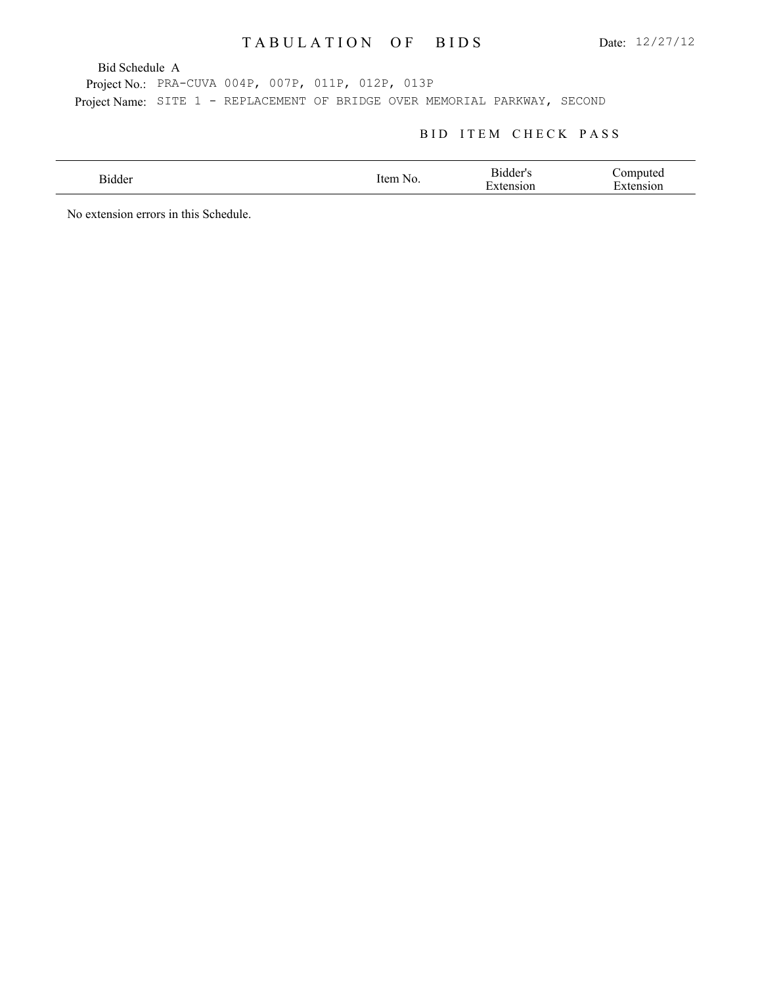Bid Schedule A

Project No.: PRA-CUVA 004P, 007P, 011P, 012P, 013P Project Name: SITE 1 - REPLACEMENT OF BRIDGE OVER MEMORIAL PARKWAY, SECOND

### BID ITEM CHECK PASS

| 31dder<br>. | tem<br>NO. | ≺ıdder'<br>$\overline{\phantom{0}}$<br>'10n | `omnuter<br>–<br>'101 |
|-------------|------------|---------------------------------------------|-----------------------|
|             |            |                                             |                       |

No extension errors in this Schedule.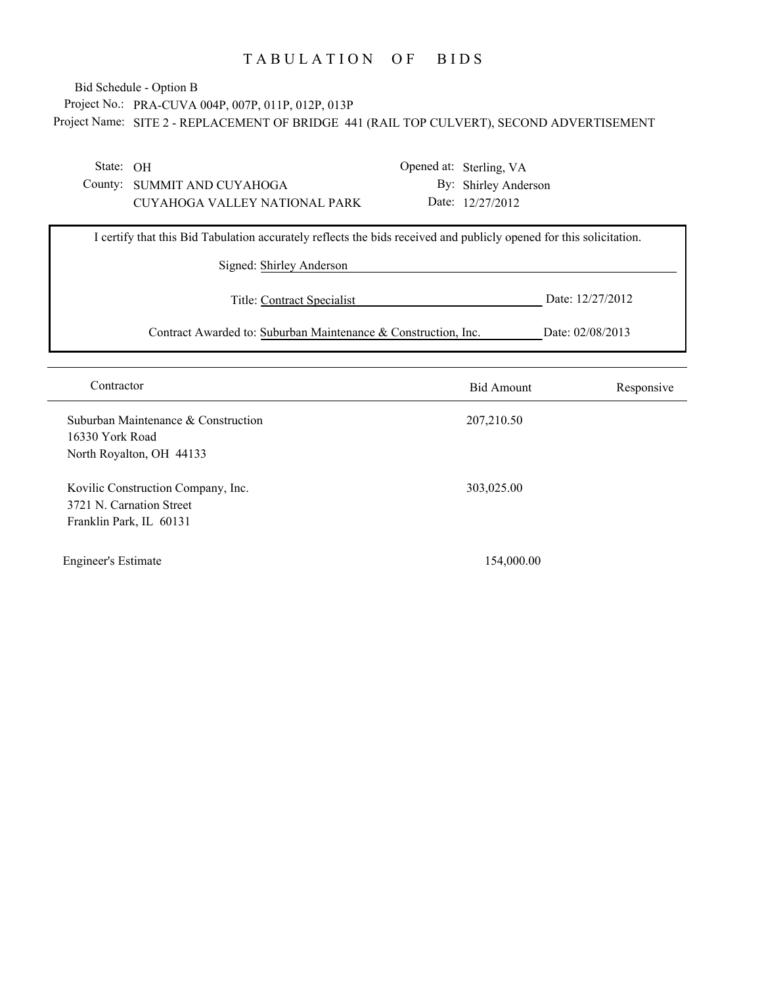### Project No.: PRA-CUVA 004P, 007P, 011P, 012P, 013P Project Name: SITE 2 - REPLACEMENT OF BRIDGE 441 (RAIL TOP CULVERT), SECOND ADVERTISEMENT Bid Schedule - Option B

State: OH

County: SUMMIT AND CUYAHOGA CUYAHOGA VALLEY NATIONAL PARK Opened at: Sterling, VA By: Shirley Anderson Date: 12/27/2012

| I certify that this Bid Tabulation accurately reflects the bids received and publicly opened for this solicitation. |                  |  |  |  |
|---------------------------------------------------------------------------------------------------------------------|------------------|--|--|--|
| Signed: Shirley Anderson                                                                                            |                  |  |  |  |
| Title: Contract Specialist                                                                                          | Date: 12/27/2012 |  |  |  |
| Contract Awarded to: Suburban Maintenance & Construction, Inc.                                                      | Date: 02/08/2013 |  |  |  |

| Contractor                                                                                | <b>Bid Amount</b> | Responsive |
|-------------------------------------------------------------------------------------------|-------------------|------------|
| Suburban Maintenance & Construction<br>16330 York Road<br>North Royalton, OH 44133        | 207,210.50        |            |
| Kovilic Construction Company, Inc.<br>3721 N. Carnation Street<br>Franklin Park, IL 60131 | 303,025.00        |            |
| <b>Engineer's Estimate</b>                                                                | 154,000.00        |            |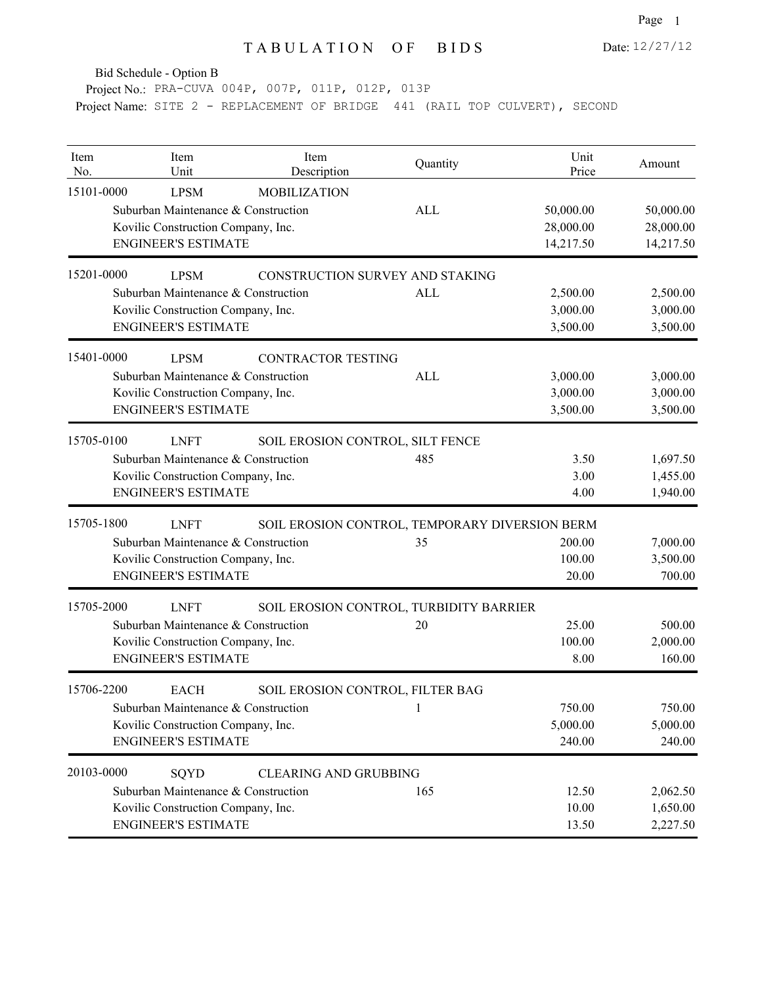Bid Schedule - Option B

Project No.: PRA-CUVA 004P, 007P, 011P, 012P, 013P Project Name: SITE 2 - REPLACEMENT OF BRIDGE 441 (RAIL TOP CULVERT), SECOND

| Item<br>No. | Item<br>Unit                                                                                                           | Item<br>Description                            | Quantity   | Unit<br>Price                       | Amount                              |
|-------------|------------------------------------------------------------------------------------------------------------------------|------------------------------------------------|------------|-------------------------------------|-------------------------------------|
| 15101-0000  | <b>LPSM</b><br>Suburban Maintenance & Construction<br>Kovilic Construction Company, Inc.<br><b>ENGINEER'S ESTIMATE</b> | <b>MOBILIZATION</b>                            | ALL        | 50,000.00<br>28,000.00<br>14,217.50 | 50,000.00<br>28,000.00<br>14,217.50 |
| 15201-0000  | <b>LPSM</b>                                                                                                            | CONSTRUCTION SURVEY AND STAKING                |            |                                     |                                     |
|             | Suburban Maintenance & Construction<br>Kovilic Construction Company, Inc.<br><b>ENGINEER'S ESTIMATE</b>                |                                                | <b>ALL</b> | 2,500.00<br>3,000.00<br>3,500.00    | 2,500.00<br>3,000.00<br>3,500.00    |
| 15401-0000  | <b>LPSM</b><br>Suburban Maintenance & Construction<br>Kovilic Construction Company, Inc.<br><b>ENGINEER'S ESTIMATE</b> | <b>CONTRACTOR TESTING</b>                      | ALL        | 3,000.00<br>3,000.00<br>3,500.00    | 3,000.00<br>3,000.00<br>3,500.00    |
| 15705-0100  | <b>LNFT</b><br>Suburban Maintenance & Construction<br>Kovilic Construction Company, Inc.<br><b>ENGINEER'S ESTIMATE</b> | SOIL EROSION CONTROL, SILT FENCE               | 485        | 3.50<br>3.00<br>4.00                | 1,697.50<br>1,455.00<br>1,940.00    |
| 15705-1800  | <b>LNFT</b>                                                                                                            | SOIL EROSION CONTROL, TEMPORARY DIVERSION BERM |            |                                     |                                     |
|             | Suburban Maintenance & Construction<br>Kovilic Construction Company, Inc.<br><b>ENGINEER'S ESTIMATE</b>                |                                                | 35         | 200.00<br>100.00<br>20.00           | 7,000.00<br>3,500.00<br>700.00      |
| 15705-2000  | <b>LNFT</b>                                                                                                            | SOIL EROSION CONTROL, TURBIDITY BARRIER        |            |                                     |                                     |
|             | Suburban Maintenance & Construction<br>Kovilic Construction Company, Inc.<br><b>ENGINEER'S ESTIMATE</b>                |                                                | 20         | 25.00<br>100.00<br>8.00             | 500.00<br>2,000.00<br>160.00        |
| 15706-2200  | <b>EACH</b>                                                                                                            | SOIL EROSION CONTROL, FILTER BAG               |            |                                     |                                     |
|             | Suburban Maintenance & Construction<br>Kovilic Construction Company, Inc.<br><b>ENGINEER'S ESTIMATE</b>                |                                                |            | 750.00<br>5,000.00<br>240.00        | 750.00<br>5,000.00<br>240.00        |
| 20103-0000  | SQYD<br>Suburban Maintenance & Construction<br>Kovilic Construction Company, Inc.<br><b>ENGINEER'S ESTIMATE</b>        | <b>CLEARING AND GRUBBING</b>                   | 165        | 12.50<br>10.00<br>13.50             | 2,062.50<br>1,650.00<br>2,227.50    |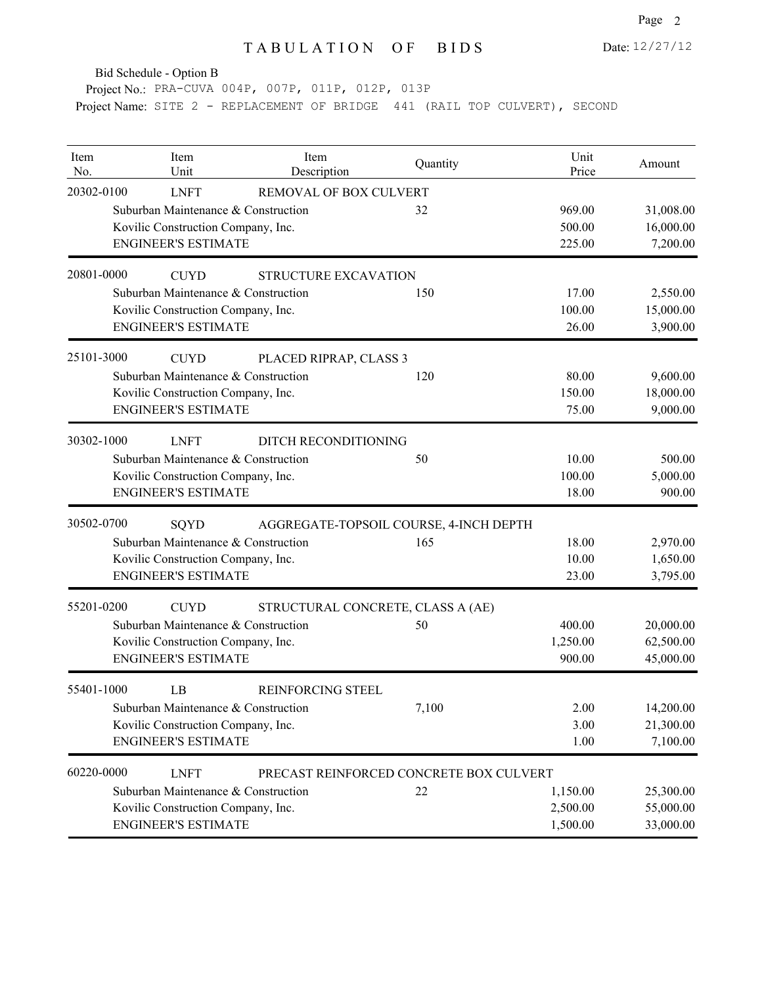Date: 12/27/12

Bid Schedule - Option B

Project No.: PRA-CUVA 004P, 007P, 011P, 012P, 013P Project Name: SITE 2 - REPLACEMENT OF BRIDGE 441 (RAIL TOP CULVERT), SECOND

| Item<br>No. | Item<br>Unit                        | Item<br>Description                     | Quantity | Unit<br>Price | Amount    |
|-------------|-------------------------------------|-----------------------------------------|----------|---------------|-----------|
| 20302-0100  | <b>LNFT</b>                         | REMOVAL OF BOX CULVERT                  |          |               |           |
|             | Suburban Maintenance & Construction |                                         | 32       | 969.00        | 31,008.00 |
|             | Kovilic Construction Company, Inc.  |                                         |          | 500.00        | 16,000.00 |
|             | <b>ENGINEER'S ESTIMATE</b>          |                                         |          | 225.00        | 7,200.00  |
| 20801-0000  | <b>CUYD</b>                         | STRUCTURE EXCAVATION                    |          |               |           |
|             | Suburban Maintenance & Construction |                                         | 150      | 17.00         | 2,550.00  |
|             | Kovilic Construction Company, Inc.  |                                         |          | 100.00        | 15,000.00 |
|             | <b>ENGINEER'S ESTIMATE</b>          |                                         |          | 26.00         | 3,900.00  |
| 25101-3000  | <b>CUYD</b>                         | PLACED RIPRAP, CLASS 3                  |          |               |           |
|             | Suburban Maintenance & Construction |                                         | 120      | 80.00         | 9,600.00  |
|             | Kovilic Construction Company, Inc.  |                                         |          | 150.00        | 18,000.00 |
|             | <b>ENGINEER'S ESTIMATE</b>          |                                         |          | 75.00         | 9,000.00  |
| 30302-1000  | <b>LNFT</b>                         | DITCH RECONDITIONING                    |          |               |           |
|             | Suburban Maintenance & Construction |                                         | 50       | 10.00         | 500.00    |
|             | Kovilic Construction Company, Inc.  |                                         |          | 100.00        | 5,000.00  |
|             | <b>ENGINEER'S ESTIMATE</b>          |                                         |          | 18.00         | 900.00    |
| 30502-0700  | SQYD                                | AGGREGATE-TOPSOIL COURSE, 4-INCH DEPTH  |          |               |           |
|             | Suburban Maintenance & Construction |                                         | 165      | 18.00         | 2,970.00  |
|             | Kovilic Construction Company, Inc.  |                                         |          | 10.00         | 1,650.00  |
|             | <b>ENGINEER'S ESTIMATE</b>          |                                         |          | 23.00         | 3,795.00  |
| 55201-0200  | <b>CUYD</b>                         | STRUCTURAL CONCRETE, CLASS A (AE)       |          |               |           |
|             | Suburban Maintenance & Construction |                                         | 50       | 400.00        | 20,000.00 |
|             | Kovilic Construction Company, Inc.  |                                         |          | 1,250.00      | 62,500.00 |
|             | <b>ENGINEER'S ESTIMATE</b>          |                                         |          | 900.00        | 45,000.00 |
| 55401-1000  | LB                                  | REINFORCING STEEL                       |          |               |           |
|             | Suburban Maintenance & Construction |                                         | 7,100    | 2.00          | 14,200.00 |
|             | Kovilic Construction Company, Inc.  |                                         |          | 3.00          | 21,300.00 |
|             | <b>ENGINEER'S ESTIMATE</b>          |                                         |          | 1.00          | 7,100.00  |
| 60220-0000  | <b>LNFT</b>                         | PRECAST REINFORCED CONCRETE BOX CULVERT |          |               |           |
|             | Suburban Maintenance & Construction |                                         | 22       | 1,150.00      | 25,300.00 |
|             | Kovilic Construction Company, Inc.  |                                         |          | 2,500.00      | 55,000.00 |
|             | <b>ENGINEER'S ESTIMATE</b>          |                                         |          | 1,500.00      | 33,000.00 |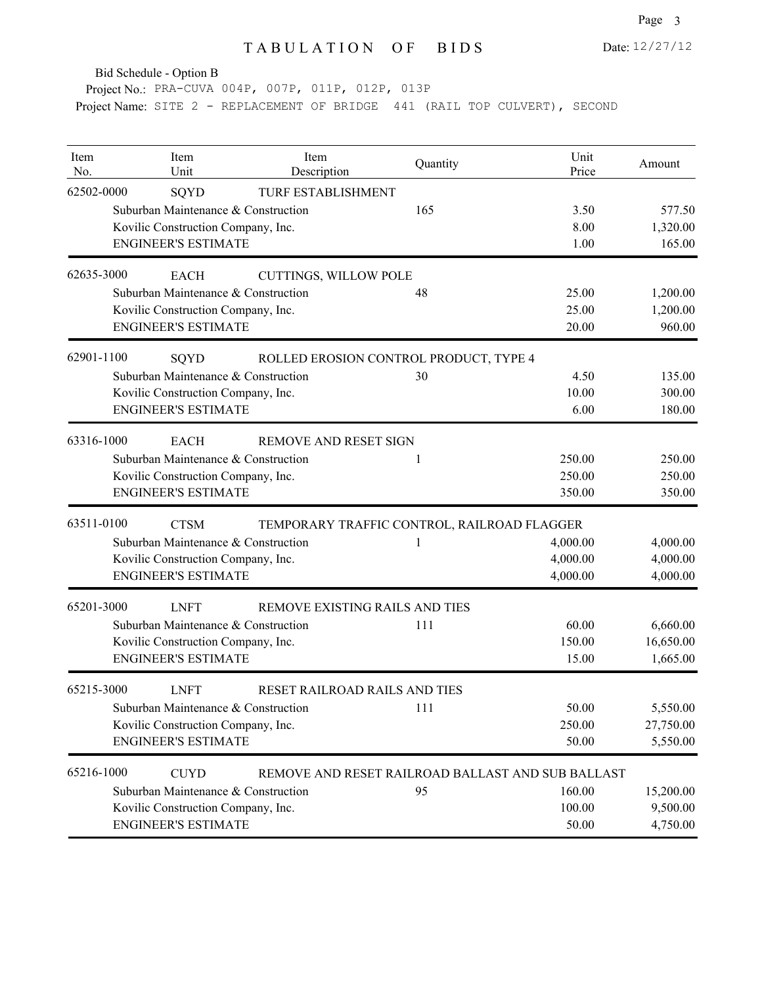Date: 12/27/12

Bid Schedule - Option B

Project No.: PRA-CUVA 004P, 007P, 011P, 012P, 013P Project Name: SITE 2 - REPLACEMENT OF BRIDGE 441 (RAIL TOP CULVERT), SECOND

| Item<br>No. | Item<br>Unit                        | Item<br>Description                               | Quantity | Unit<br>Price | Amount    |
|-------------|-------------------------------------|---------------------------------------------------|----------|---------------|-----------|
| 62502-0000  | SQYD                                | TURF ESTABLISHMENT                                |          |               |           |
|             | Suburban Maintenance & Construction |                                                   | 165      | 3.50          | 577.50    |
|             | Kovilic Construction Company, Inc.  |                                                   |          | 8.00          | 1,320.00  |
|             | <b>ENGINEER'S ESTIMATE</b>          |                                                   |          | 1.00          | 165.00    |
| 62635-3000  | <b>EACH</b>                         | <b>CUTTINGS, WILLOW POLE</b>                      |          |               |           |
|             | Suburban Maintenance & Construction |                                                   | 48       | 25.00         | 1,200.00  |
|             | Kovilic Construction Company, Inc.  |                                                   |          | 25.00         | 1,200.00  |
|             | <b>ENGINEER'S ESTIMATE</b>          |                                                   |          | 20.00         | 960.00    |
| 62901-1100  | SQYD                                | ROLLED EROSION CONTROL PRODUCT, TYPE 4            |          |               |           |
|             | Suburban Maintenance & Construction |                                                   | 30       | 4.50          | 135.00    |
|             | Kovilic Construction Company, Inc.  |                                                   |          | 10.00         | 300.00    |
|             | <b>ENGINEER'S ESTIMATE</b>          |                                                   |          | 6.00          | 180.00    |
| 63316-1000  | <b>EACH</b>                         | REMOVE AND RESET SIGN                             |          |               |           |
|             | Suburban Maintenance & Construction |                                                   | 1        | 250.00        | 250.00    |
|             | Kovilic Construction Company, Inc.  |                                                   |          | 250.00        | 250.00    |
|             | <b>ENGINEER'S ESTIMATE</b>          |                                                   |          | 350.00        | 350.00    |
| 63511-0100  | <b>CTSM</b>                         | TEMPORARY TRAFFIC CONTROL, RAILROAD FLAGGER       |          |               |           |
|             | Suburban Maintenance & Construction |                                                   | 1        | 4,000.00      | 4,000.00  |
|             | Kovilic Construction Company, Inc.  |                                                   |          | 4,000.00      | 4,000.00  |
|             | <b>ENGINEER'S ESTIMATE</b>          |                                                   |          | 4,000.00      | 4,000.00  |
| 65201-3000  | <b>LNFT</b>                         | REMOVE EXISTING RAILS AND TIES                    |          |               |           |
|             | Suburban Maintenance & Construction |                                                   | 111      | 60.00         | 6,660.00  |
|             | Kovilic Construction Company, Inc.  |                                                   |          | 150.00        | 16,650.00 |
|             | <b>ENGINEER'S ESTIMATE</b>          |                                                   |          | 15.00         | 1,665.00  |
| 65215-3000  | <b>LNFT</b>                         | RESET RAILROAD RAILS AND TIES                     |          |               |           |
|             | Suburban Maintenance & Construction |                                                   | 111      | 50.00         | 5,550.00  |
|             | Kovilic Construction Company, Inc.  |                                                   |          | 250.00        | 27,750.00 |
|             | <b>ENGINEER'S ESTIMATE</b>          |                                                   |          | 50.00         | 5,550.00  |
| 65216-1000  | <b>CUYD</b>                         | REMOVE AND RESET RAILROAD BALLAST AND SUB BALLAST |          |               |           |
|             | Suburban Maintenance & Construction |                                                   | 95       | 160.00        | 15,200.00 |
|             | Kovilic Construction Company, Inc.  |                                                   |          | 100.00        | 9,500.00  |
|             | <b>ENGINEER'S ESTIMATE</b>          |                                                   |          | 50.00         | 4,750.00  |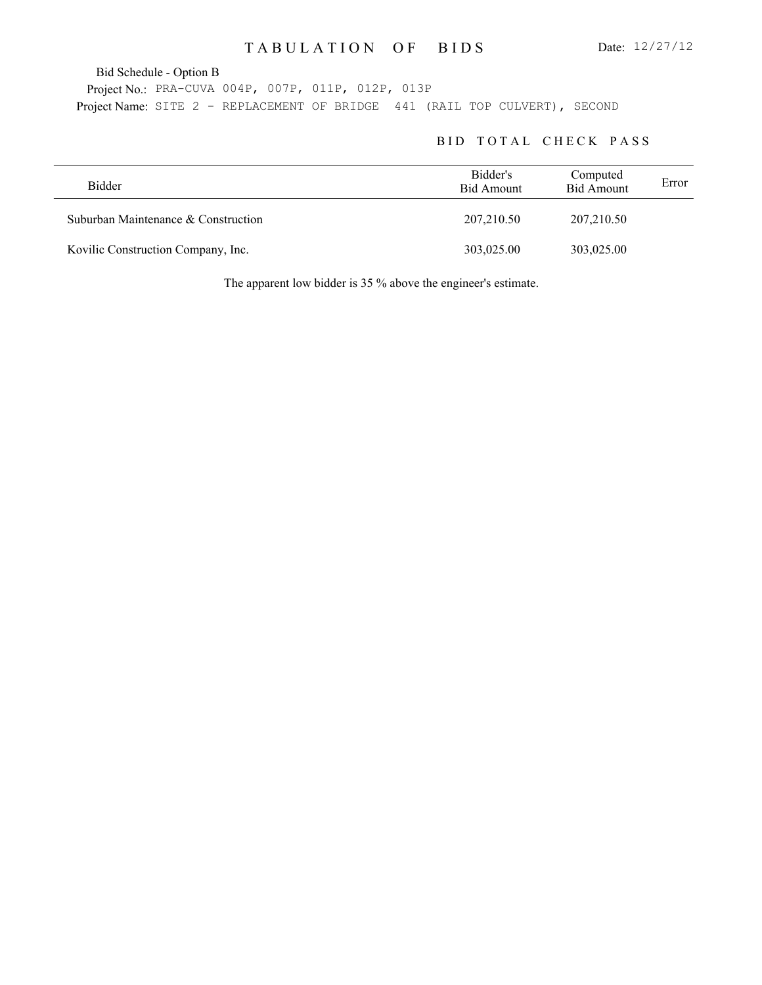Bid Schedule - Option B

Project No.: PRA-CUVA 004P, 007P, 011P, 012P, 013P Project Name: SITE 2 - REPLACEMENT OF BRIDGE 441 (RAIL TOP CULVERT), SECOND

#### BID TOTAL CHECK PASS

| Bidder                              | Bidder's<br>Bid Amount | Computed<br><b>Bid Amount</b> | Error |
|-------------------------------------|------------------------|-------------------------------|-------|
| Suburban Maintenance & Construction | 207,210.50             | 207,210.50                    |       |
| Kovilic Construction Company, Inc.  | 303,025.00             | 303,025.00                    |       |

The apparent low bidder is 35 % above the engineer's estimate.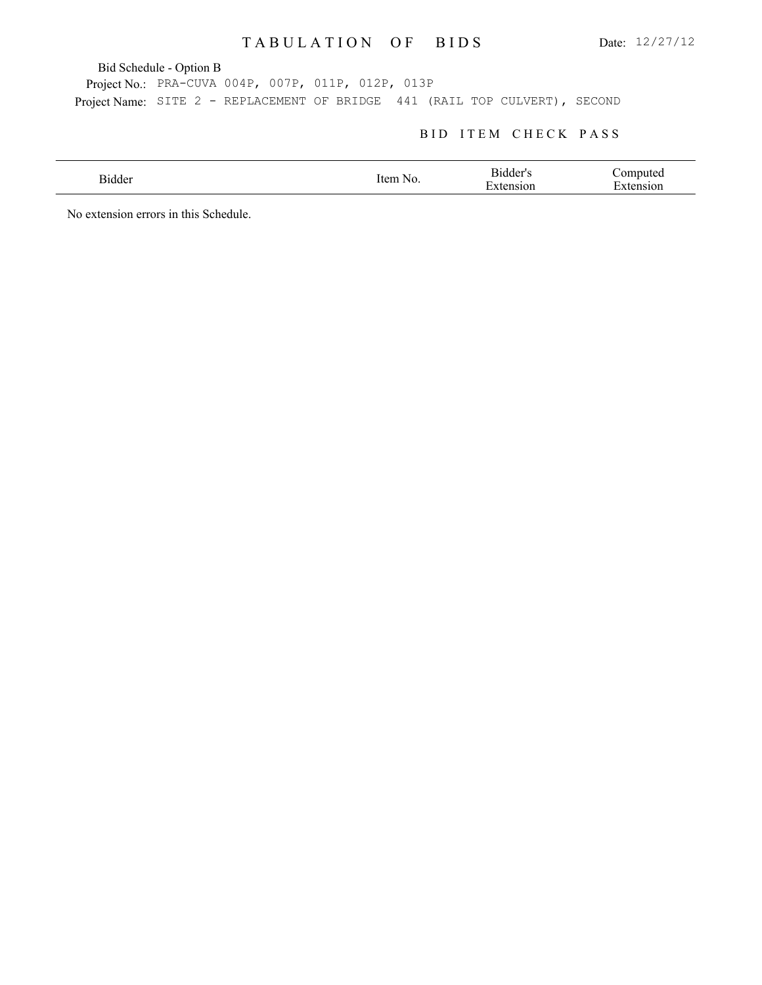Bid Schedule - Option B

Project No.: PRA-CUVA 004P, 007P, 011P, 012P, 013P Project Name: SITE 2 - REPLACEMENT OF BRIDGE 441 (RAIL TOP CULVERT), SECOND

### BID ITEM CHECK PASS

| 31dder<br>. | ltem<br>NO. | -Bidder"<br>$\mathbf{\tau}$<br>10n | ∖∩mn<br>nuted<br>$\overline{\phantom{0}}$<br><b>SIOI</b> |
|-------------|-------------|------------------------------------|----------------------------------------------------------|
|             |             |                                    |                                                          |

No extension errors in this Schedule.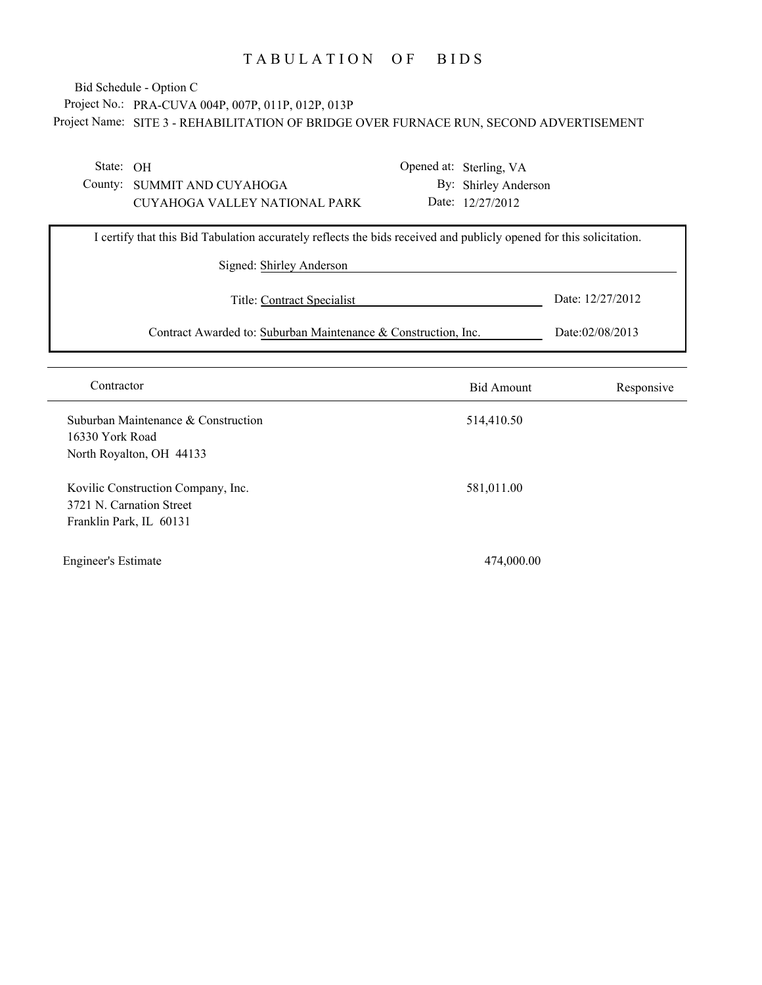## Project No.: PRA-CUVA 004P, 007P, 011P, 012P, 013P Project Name: SITE 3 - REHABILITATION OF BRIDGE OVER FURNACE RUN, SECOND ADVERTISEMENT Bid Schedule - Option C

State: OH

County: SUMMIT AND CUYAHOGA CUYAHOGA VALLEY NATIONAL PARK Opened at: Sterling, VA By: Shirley Anderson Date: 12/27/2012

| I certify that this Bid Tabulation accurately reflects the bids received and publicly opened for this solicitation. |                  |  |  |
|---------------------------------------------------------------------------------------------------------------------|------------------|--|--|
| Signed: Shirley Anderson                                                                                            |                  |  |  |
| Title: Contract Specialist                                                                                          | Date: 12/27/2012 |  |  |
| Contract Awarded to: Suburban Maintenance & Construction, Inc.                                                      | Date:02/08/2013  |  |  |

| Contractor                                                                                | <b>Bid Amount</b> | Responsive |
|-------------------------------------------------------------------------------------------|-------------------|------------|
| Suburban Maintenance & Construction<br>16330 York Road<br>North Royalton, OH 44133        | 514,410.50        |            |
| Kovilic Construction Company, Inc.<br>3721 N. Carnation Street<br>Franklin Park, IL 60131 | 581,011.00        |            |
| <b>Engineer's Estimate</b>                                                                | 474,000.00        |            |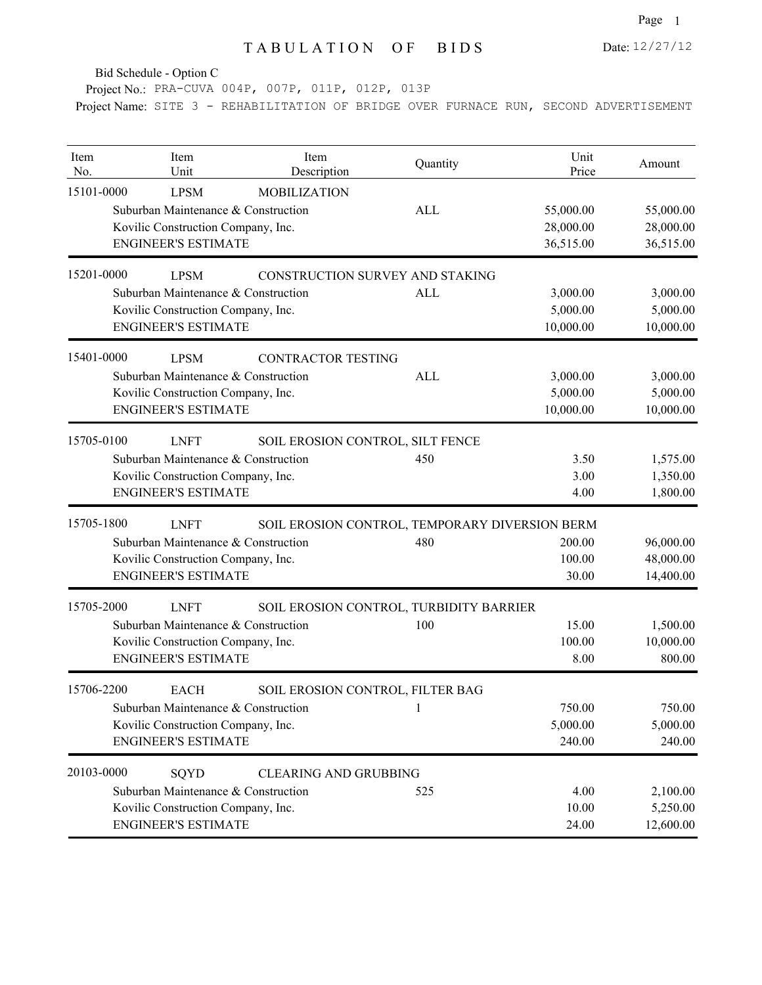Bid Schedule - Option C

Project No.: PRA-CUVA 004P, 007P, 011P, 012P, 013P

Project Name: SITE 3 - REHABILITATION OF BRIDGE OVER FURNACE RUN, SECOND ADVERTISEMENT

| Item<br>No. | Item<br>Unit                                                                                                           | Item<br>Description                            | Quantity   | Unit<br>Price                       | Amount                              |
|-------------|------------------------------------------------------------------------------------------------------------------------|------------------------------------------------|------------|-------------------------------------|-------------------------------------|
| 15101-0000  | <b>LPSM</b><br>Suburban Maintenance & Construction<br>Kovilic Construction Company, Inc.<br><b>ENGINEER'S ESTIMATE</b> | <b>MOBILIZATION</b>                            | <b>ALL</b> | 55,000.00<br>28,000.00<br>36,515.00 | 55,000.00<br>28,000.00<br>36,515.00 |
| 15201-0000  | <b>LPSM</b>                                                                                                            | CONSTRUCTION SURVEY AND STAKING                |            |                                     |                                     |
|             | Suburban Maintenance & Construction<br>Kovilic Construction Company, Inc.<br><b>ENGINEER'S ESTIMATE</b>                |                                                | <b>ALL</b> | 3,000.00<br>5,000.00<br>10,000.00   | 3,000.00<br>5,000.00<br>10,000.00   |
| 15401-0000  | <b>LPSM</b>                                                                                                            | <b>CONTRACTOR TESTING</b>                      |            |                                     |                                     |
|             | Suburban Maintenance & Construction<br>Kovilic Construction Company, Inc.<br><b>ENGINEER'S ESTIMATE</b>                |                                                | <b>ALL</b> | 3,000.00<br>5,000.00<br>10,000.00   | 3,000.00<br>5,000.00<br>10,000.00   |
| 15705-0100  | <b>LNFT</b>                                                                                                            | SOIL EROSION CONTROL, SILT FENCE               |            |                                     |                                     |
|             | Suburban Maintenance & Construction<br>Kovilic Construction Company, Inc.<br><b>ENGINEER'S ESTIMATE</b>                |                                                | 450        | 3.50<br>3.00<br>4.00                | 1,575.00<br>1,350.00<br>1,800.00    |
| 15705-1800  | <b>LNFT</b>                                                                                                            | SOIL EROSION CONTROL, TEMPORARY DIVERSION BERM |            |                                     |                                     |
|             | Suburban Maintenance & Construction<br>Kovilic Construction Company, Inc.<br><b>ENGINEER'S ESTIMATE</b>                |                                                | 480        | 200.00<br>100.00<br>30.00           | 96,000.00<br>48,000.00<br>14,400.00 |
| 15705-2000  | <b>LNFT</b>                                                                                                            | SOIL EROSION CONTROL, TURBIDITY BARRIER        |            |                                     |                                     |
|             | Suburban Maintenance & Construction<br>Kovilic Construction Company, Inc.<br><b>ENGINEER'S ESTIMATE</b>                |                                                | 100        | 15.00<br>100.00<br>8.00             | 1,500.00<br>10,000.00<br>800.00     |
| 15706-2200  | <b>EACH</b>                                                                                                            | SOIL EROSION CONTROL, FILTER BAG               |            |                                     |                                     |
|             | Suburban Maintenance & Construction<br>Kovilic Construction Company, Inc.<br><b>ENGINEER'S ESTIMATE</b>                |                                                | 1          | 750.00<br>5,000.00<br>240.00        | 750.00<br>5,000.00<br>240.00        |
| 20103-0000  | SQYD                                                                                                                   | <b>CLEARING AND GRUBBING</b>                   |            |                                     |                                     |
|             | Suburban Maintenance & Construction<br>Kovilic Construction Company, Inc.<br><b>ENGINEER'S ESTIMATE</b>                |                                                | 525        | 4.00<br>10.00<br>24.00              | 2,100.00<br>5,250.00<br>12,600.00   |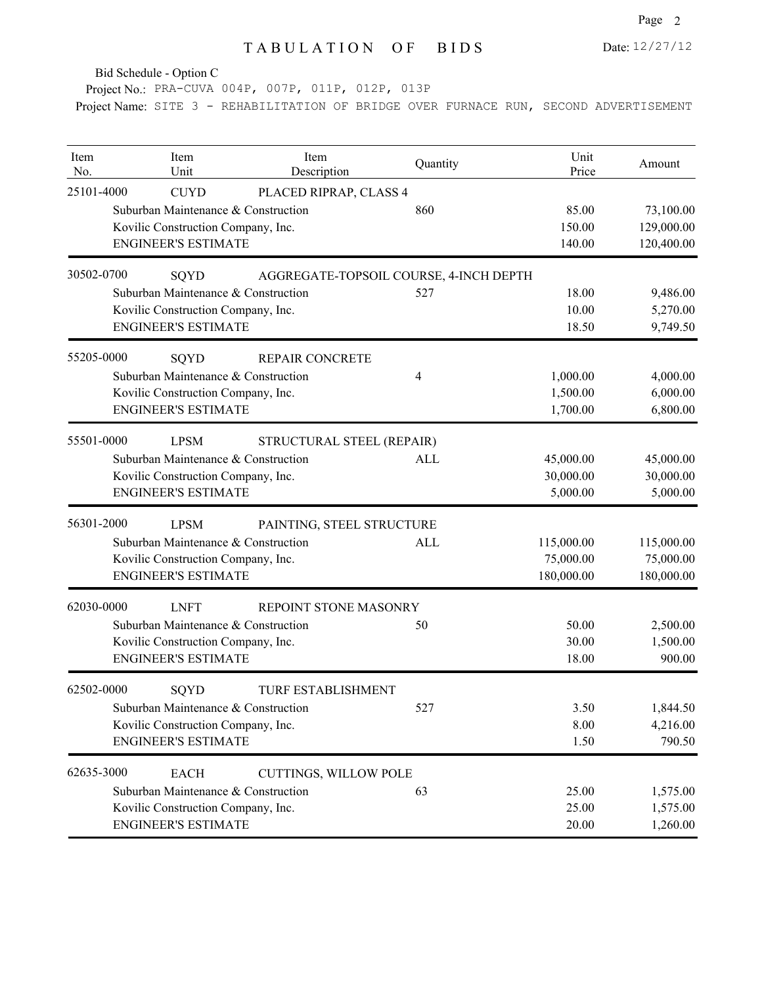Date: 12/27/12

Bid Schedule - Option C

Project No.: PRA-CUVA 004P, 007P, 011P, 012P, 013P

Project Name: SITE 3 - REHABILITATION OF BRIDGE OVER FURNACE RUN, SECOND ADVERTISEMENT

| Item<br>No. | Item<br>Unit                        | Item<br>Description                    | Quantity | Unit<br>Price | Amount     |
|-------------|-------------------------------------|----------------------------------------|----------|---------------|------------|
| 25101-4000  | <b>CUYD</b>                         | PLACED RIPRAP, CLASS 4                 |          |               |            |
|             | Suburban Maintenance & Construction |                                        | 860      | 85.00         | 73,100.00  |
|             | Kovilic Construction Company, Inc.  |                                        |          | 150.00        | 129,000.00 |
|             | <b>ENGINEER'S ESTIMATE</b>          |                                        |          | 140.00        | 120,400.00 |
| 30502-0700  | SQYD                                | AGGREGATE-TOPSOIL COURSE, 4-INCH DEPTH |          |               |            |
|             | Suburban Maintenance & Construction |                                        | 527      | 18.00         | 9,486.00   |
|             | Kovilic Construction Company, Inc.  |                                        |          | 10.00         | 5,270.00   |
|             | <b>ENGINEER'S ESTIMATE</b>          |                                        |          | 18.50         | 9,749.50   |
| 55205-0000  | SQYD                                | <b>REPAIR CONCRETE</b>                 |          |               |            |
|             | Suburban Maintenance & Construction |                                        | 4        | 1,000.00      | 4,000.00   |
|             | Kovilic Construction Company, Inc.  |                                        |          | 1,500.00      | 6,000.00   |
|             | <b>ENGINEER'S ESTIMATE</b>          |                                        |          | 1,700.00      | 6,800.00   |
| 55501-0000  | <b>LPSM</b>                         | STRUCTURAL STEEL (REPAIR)              |          |               |            |
|             | Suburban Maintenance & Construction |                                        | ALL      | 45,000.00     | 45,000.00  |
|             | Kovilic Construction Company, Inc.  |                                        |          | 30,000.00     | 30,000.00  |
|             | <b>ENGINEER'S ESTIMATE</b>          |                                        |          | 5,000.00      | 5,000.00   |
| 56301-2000  | <b>LPSM</b>                         | PAINTING, STEEL STRUCTURE              |          |               |            |
|             | Suburban Maintenance & Construction |                                        | ALL      | 115,000.00    | 115,000.00 |
|             | Kovilic Construction Company, Inc.  |                                        |          | 75,000.00     | 75,000.00  |
|             | <b>ENGINEER'S ESTIMATE</b>          |                                        |          | 180,000.00    | 180,000.00 |
| 62030-0000  | <b>LNFT</b>                         | REPOINT STONE MASONRY                  |          |               |            |
|             | Suburban Maintenance & Construction |                                        | 50       | 50.00         | 2,500.00   |
|             | Kovilic Construction Company, Inc.  |                                        |          | 30.00         | 1,500.00   |
|             | <b>ENGINEER'S ESTIMATE</b>          |                                        |          | 18.00         | 900.00     |
| 62502-0000  | SQYD                                | <b>TURF ESTABLISHMENT</b>              |          |               |            |
|             | Suburban Maintenance & Construction |                                        | 527      | 3.50          | 1,844.50   |
|             | Kovilic Construction Company, Inc.  |                                        |          | 8.00          | 4,216.00   |
|             | <b>ENGINEER'S ESTIMATE</b>          |                                        |          | 1.50          | 790.50     |
| 62635-3000  | <b>EACH</b>                         | CUTTINGS, WILLOW POLE                  |          |               |            |
|             | Suburban Maintenance & Construction |                                        | 63       | 25.00         | 1,575.00   |
|             | Kovilic Construction Company, Inc.  |                                        |          | 25.00         | 1,575.00   |
|             | <b>ENGINEER'S ESTIMATE</b>          |                                        |          | 20.00         | 1,260.00   |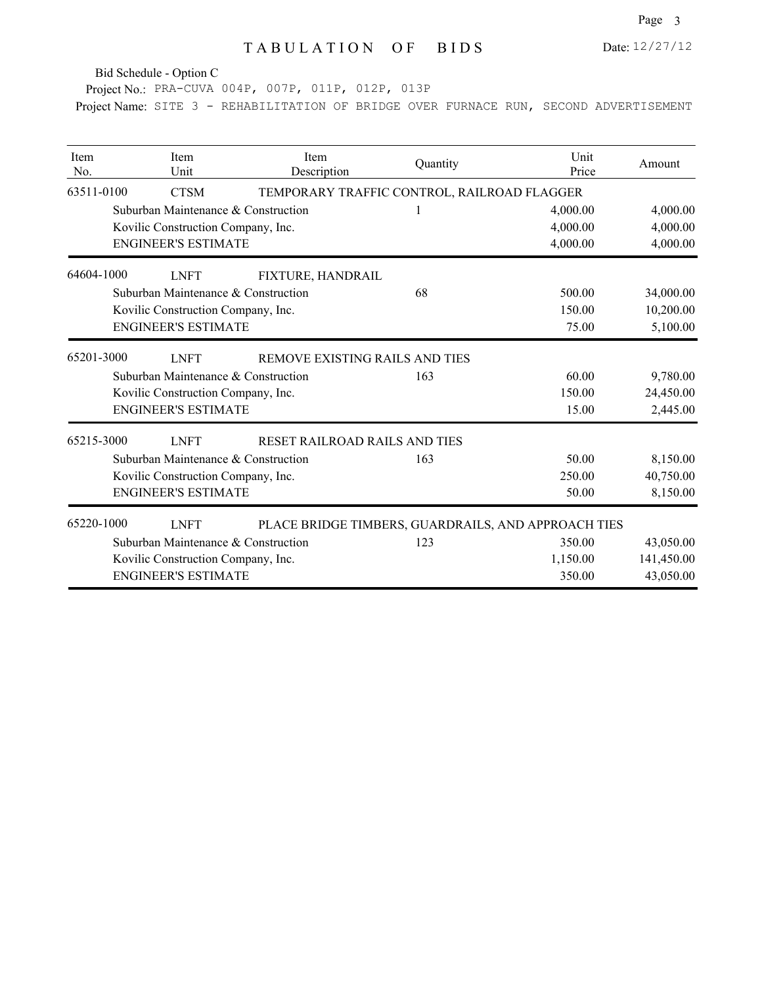Bid Schedule - Option C

Project No.: PRA-CUVA 004P, 007P, 011P, 012P, 013P

Project Name: SITE 3 - REHABILITATION OF BRIDGE OVER FURNACE RUN, SECOND ADVERTISEMENT

| Item<br>No. | Item<br>Unit                        | Item<br>Description                                 | Quantity | Unit<br>Price | Amount     |
|-------------|-------------------------------------|-----------------------------------------------------|----------|---------------|------------|
| 63511-0100  | <b>CTSM</b>                         | TEMPORARY TRAFFIC CONTROL, RAILROAD FLAGGER         |          |               |            |
|             | Suburban Maintenance & Construction |                                                     |          | 4,000.00      | 4,000.00   |
|             | Kovilic Construction Company, Inc.  |                                                     |          | 4,000.00      | 4,000.00   |
|             | <b>ENGINEER'S ESTIMATE</b>          |                                                     |          | 4,000.00      | 4,000.00   |
| 64604-1000  | <b>LNFT</b>                         | FIXTURE, HANDRAIL                                   |          |               |            |
|             | Suburban Maintenance & Construction |                                                     | 68       | 500.00        | 34,000.00  |
|             | Kovilic Construction Company, Inc.  |                                                     |          | 150.00        | 10,200.00  |
|             | <b>ENGINEER'S ESTIMATE</b>          |                                                     |          | 75.00         | 5,100.00   |
| 65201-3000  | <b>LNFT</b>                         | REMOVE EXISTING RAILS AND TIES                      |          |               |            |
|             | Suburban Maintenance & Construction |                                                     | 163      | 60.00         | 9,780.00   |
|             | Kovilic Construction Company, Inc.  |                                                     |          | 150.00        | 24,450.00  |
|             | <b>ENGINEER'S ESTIMATE</b>          |                                                     |          | 15.00         | 2,445.00   |
| 65215-3000  | <b>LNFT</b>                         | RESET RAILROAD RAILS AND TIES                       |          |               |            |
|             | Suburban Maintenance & Construction |                                                     | 163      | 50.00         | 8,150.00   |
|             | Kovilic Construction Company, Inc.  |                                                     |          | 250.00        | 40,750.00  |
|             | <b>ENGINEER'S ESTIMATE</b>          |                                                     |          | 50.00         | 8,150.00   |
| 65220-1000  | <b>LNFT</b>                         | PLACE BRIDGE TIMBERS, GUARDRAILS, AND APPROACH TIES |          |               |            |
|             | Suburban Maintenance & Construction |                                                     | 123      | 350.00        | 43,050.00  |
|             | Kovilic Construction Company, Inc.  |                                                     |          | 1,150.00      | 141,450.00 |
|             | <b>ENGINEER'S ESTIMATE</b>          |                                                     |          | 350.00        | 43,050.00  |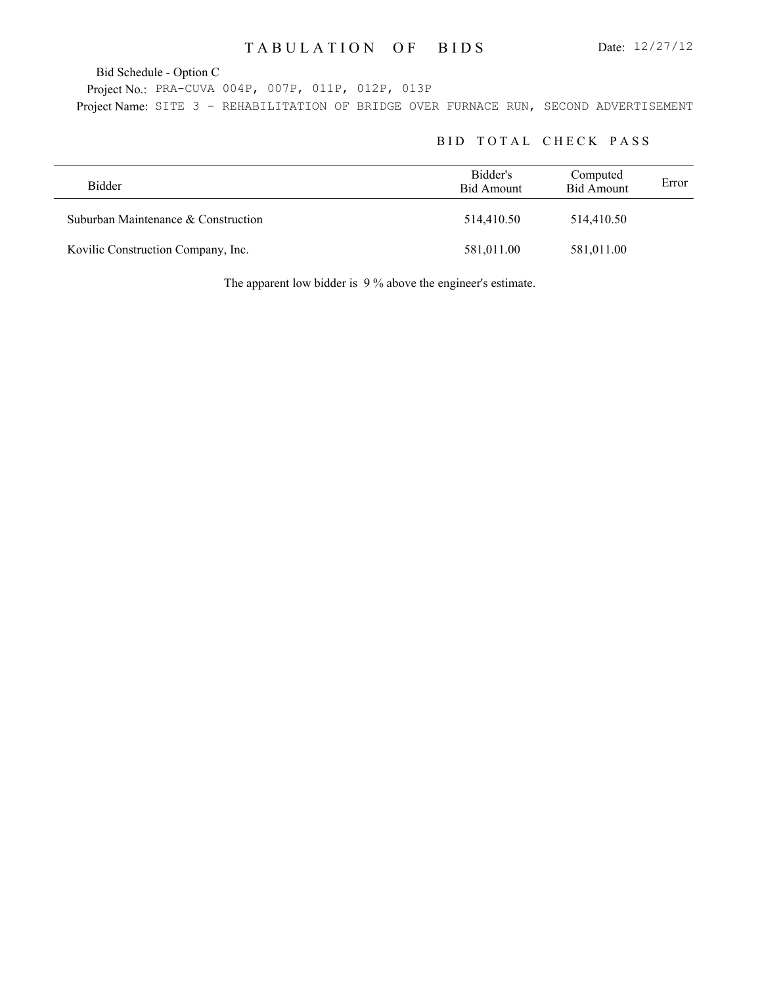Bid Schedule - Option C

Project No.: PRA-CUVA 004P, 007P, 011P, 012P, 013P Project Name: SITE 3 - REHABILITATION OF BRIDGE OVER FURNACE RUN, SECOND ADVERTISEMENT

### BID TOTAL CHECK PASS

| Bidder                              | Bidder's<br>Bid Amount | Computed<br><b>Bid Amount</b> | Error |
|-------------------------------------|------------------------|-------------------------------|-------|
| Suburban Maintenance & Construction | 514,410.50             | 514,410.50                    |       |
| Kovilic Construction Company, Inc.  | 581,011.00             | 581,011.00                    |       |

The apparent low bidder is 9 % above the engineer's estimate.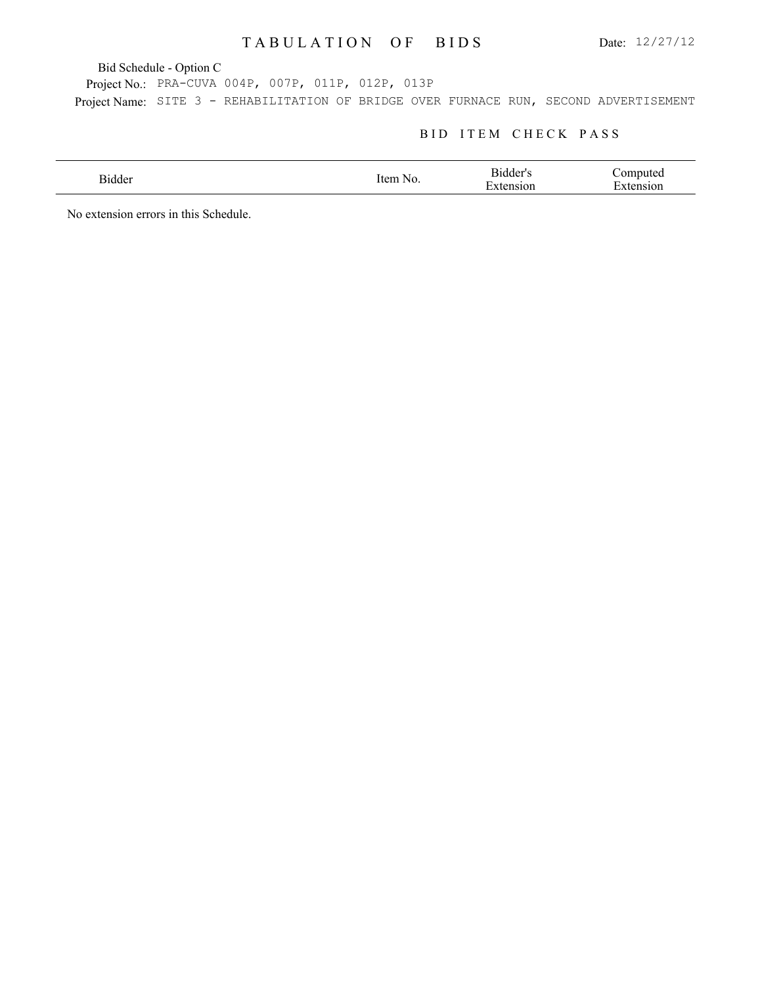Bid Schedule - Option C

Project No.: PRA-CUVA 004P, 007P, 011P, 012P, 013P Project Name: SITE 3 - REHABILITATION OF BRIDGE OVER FURNACE RUN, SECOND ADVERTISEMENT

#### BID ITEM CHECK PASS

| 31dder<br>. | rtem<br>NG<br>., | -Bidder"<br>$\mathbf{\tau}$<br>`10n | `omnute<br>∽<br>`O1 |
|-------------|------------------|-------------------------------------|---------------------|
|             |                  |                                     |                     |

No extension errors in this Schedule.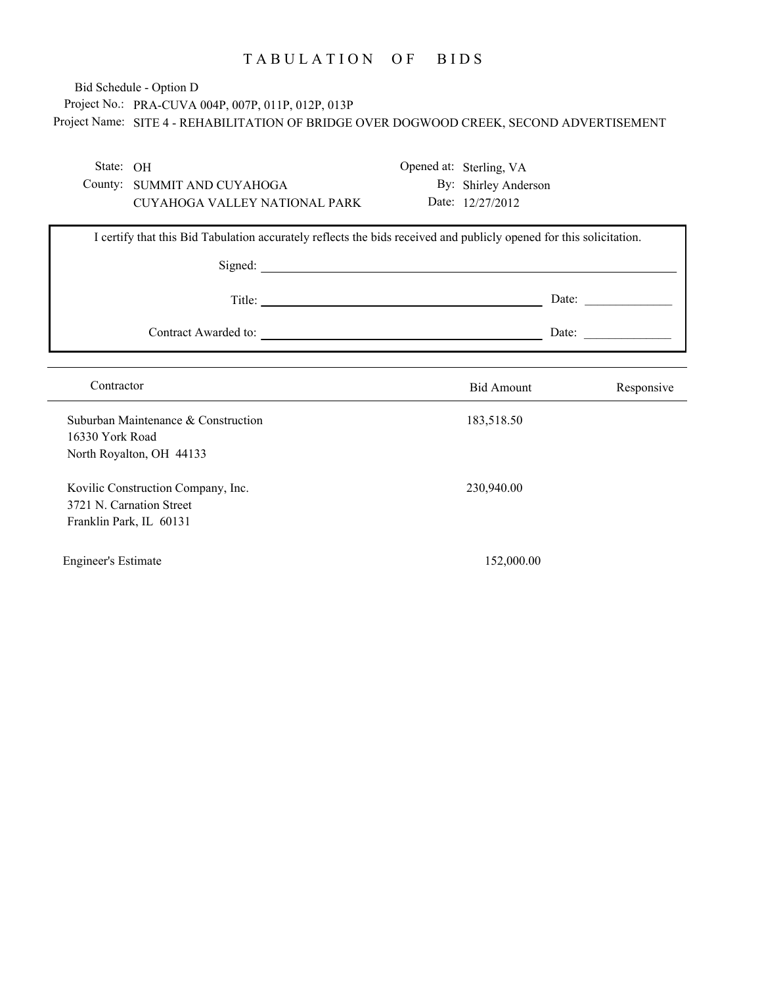# Project No.: PRA-CUVA 004P, 007P, 011P, 012P, 013P Project Name: SITE 4 - REHABILITATION OF BRIDGE OVER DOGWOOD CREEK, SECOND ADVERTISEMENT Bid Schedule - Option D

| State: OH<br>County: SUMMIT AND CUYAHOGA<br>CUYAHOGA VALLEY NATIONAL PARK                 |                                                                                                                     | Opened at: Sterling, VA<br>By: Shirley Anderson<br>Date: 12/27/2012 |                                                          |
|-------------------------------------------------------------------------------------------|---------------------------------------------------------------------------------------------------------------------|---------------------------------------------------------------------|----------------------------------------------------------|
|                                                                                           | I certify that this Bid Tabulation accurately reflects the bids received and publicly opened for this solicitation. |                                                                     |                                                          |
|                                                                                           |                                                                                                                     |                                                                     | Date: $\qquad \qquad$                                    |
|                                                                                           |                                                                                                                     |                                                                     | Date: $\frac{1}{\sqrt{1-\frac{1}{2}} \cdot \frac{1}{2}}$ |
| Contractor                                                                                |                                                                                                                     | <b>Bid Amount</b>                                                   | Responsive                                               |
| Suburban Maintenance & Construction<br>16330 York Road<br>North Royalton, OH 44133        |                                                                                                                     | 183,518.50                                                          |                                                          |
| Kovilic Construction Company, Inc.<br>3721 N. Carnation Street<br>Franklin Park, IL 60131 |                                                                                                                     | 230,940.00                                                          |                                                          |
| <b>Engineer's Estimate</b>                                                                |                                                                                                                     | 152,000.00                                                          |                                                          |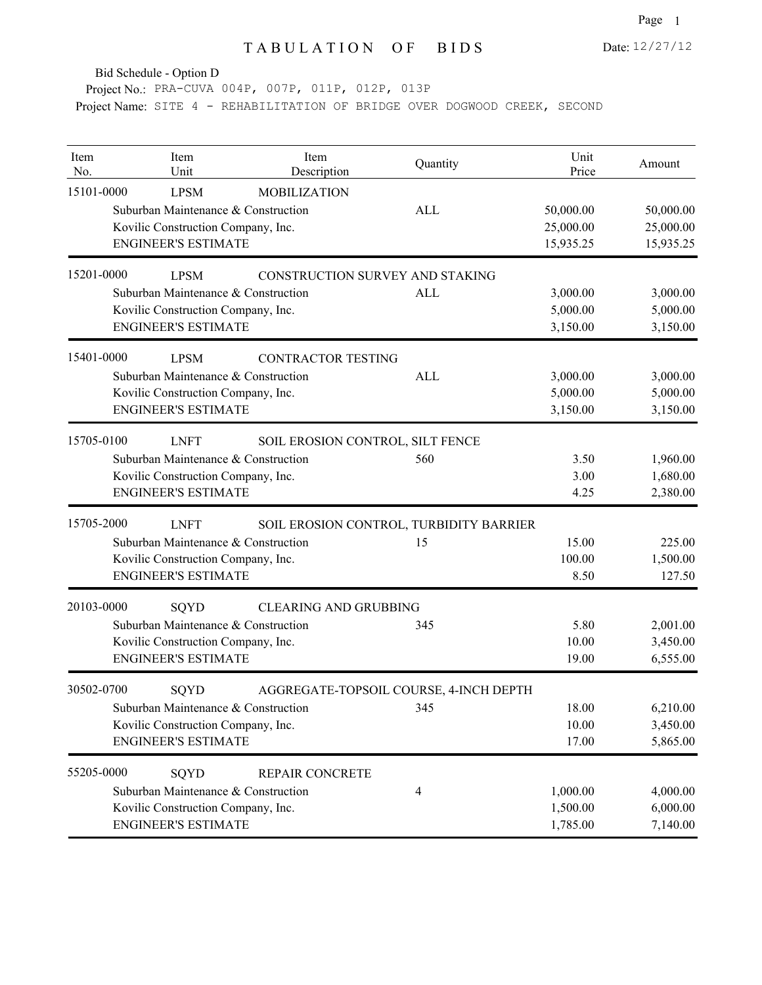Bid Schedule - Option D

Project No.: PRA-CUVA 004P, 007P, 011P, 012P, 013P Project Name: SITE 4 - REHABILITATION OF BRIDGE OVER DOGWOOD CREEK, SECOND

| Item<br>No. | Item<br>Unit                                                                                                           | Item<br>Description              | Quantity                                      | Unit<br>Price                       | Amount                              |
|-------------|------------------------------------------------------------------------------------------------------------------------|----------------------------------|-----------------------------------------------|-------------------------------------|-------------------------------------|
| 15101-0000  | <b>LPSM</b><br>Suburban Maintenance & Construction<br>Kovilic Construction Company, Inc.<br><b>ENGINEER'S ESTIMATE</b> | <b>MOBILIZATION</b>              | <b>ALL</b>                                    | 50,000.00<br>25,000.00<br>15,935.25 | 50,000.00<br>25,000.00<br>15,935.25 |
| 15201-0000  | <b>LPSM</b>                                                                                                            | CONSTRUCTION SURVEY AND STAKING  |                                               |                                     |                                     |
|             | Suburban Maintenance & Construction<br>Kovilic Construction Company, Inc.<br><b>ENGINEER'S ESTIMATE</b>                |                                  | <b>ALL</b>                                    | 3,000.00<br>5,000.00<br>3,150.00    | 3,000.00<br>5,000.00<br>3,150.00    |
| 15401-0000  | <b>LPSM</b><br>Suburban Maintenance & Construction<br>Kovilic Construction Company, Inc.<br><b>ENGINEER'S ESTIMATE</b> | <b>CONTRACTOR TESTING</b>        | <b>ALL</b>                                    | 3,000.00<br>5,000.00<br>3,150.00    | 3,000.00<br>5,000.00<br>3,150.00    |
| 15705-0100  | <b>LNFT</b><br>Suburban Maintenance & Construction<br>Kovilic Construction Company, Inc.<br><b>ENGINEER'S ESTIMATE</b> | SOIL EROSION CONTROL, SILT FENCE | 560                                           | 3.50<br>3.00<br>4.25                | 1,960.00<br>1,680.00<br>2,380.00    |
| 15705-2000  | <b>LNFT</b><br>Suburban Maintenance & Construction<br>Kovilic Construction Company, Inc.<br><b>ENGINEER'S ESTIMATE</b> |                                  | SOIL EROSION CONTROL, TURBIDITY BARRIER<br>15 | 15.00<br>100.00<br>8.50             | 225.00<br>1,500.00<br>127.50        |
| 20103-0000  | SQYD<br>Suburban Maintenance & Construction<br>Kovilic Construction Company, Inc.<br><b>ENGINEER'S ESTIMATE</b>        | <b>CLEARING AND GRUBBING</b>     | 345                                           | 5.80<br>10.00<br>19.00              | 2,001.00<br>3,450.00<br>6,555.00    |
| 30502-0700  | SQYD<br>Suburban Maintenance & Construction<br>Kovilic Construction Company, Inc.<br><b>ENGINEER'S ESTIMATE</b>        |                                  | AGGREGATE-TOPSOIL COURSE, 4-INCH DEPTH<br>345 | 18.00<br>10.00<br>17.00             | 6,210.00<br>3,450.00<br>5,865.00    |
| 55205-0000  | SQYD<br>Suburban Maintenance & Construction<br>Kovilic Construction Company, Inc.<br><b>ENGINEER'S ESTIMATE</b>        | REPAIR CONCRETE                  | 4                                             | 1,000.00<br>1,500.00<br>1,785.00    | 4,000.00<br>6,000.00<br>7,140.00    |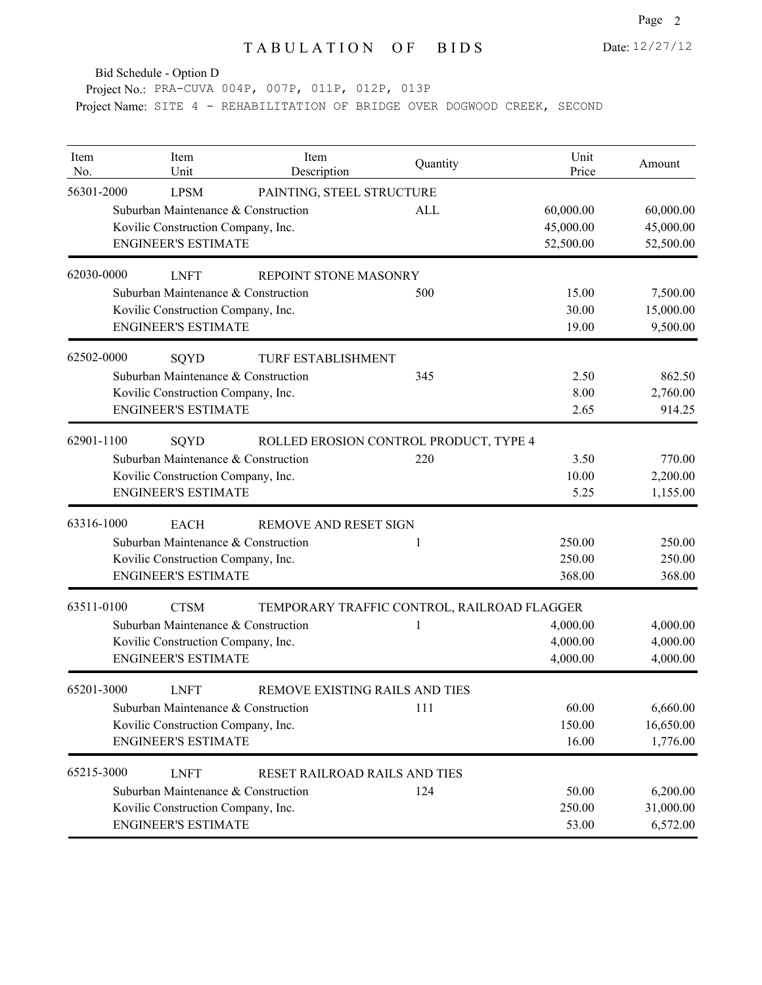Bid Schedule - Option D

Project No.: PRA-CUVA 004P, 007P, 011P, 012P, 013P Project Name: SITE 4 - REHABILITATION OF BRIDGE OVER DOGWOOD CREEK, SECOND

| Item<br>No. | Item<br>Unit                        | Item<br>Description            | Quantity                                    | Unit<br>Price | Amount    |
|-------------|-------------------------------------|--------------------------------|---------------------------------------------|---------------|-----------|
| 56301-2000  | <b>LPSM</b>                         | PAINTING, STEEL STRUCTURE      |                                             |               |           |
|             | Suburban Maintenance & Construction |                                | ALL                                         | 60,000.00     | 60,000.00 |
|             | Kovilic Construction Company, Inc.  |                                |                                             | 45,000.00     | 45,000.00 |
|             | <b>ENGINEER'S ESTIMATE</b>          |                                |                                             | 52,500.00     | 52,500.00 |
| 62030-0000  | <b>LNFT</b>                         | REPOINT STONE MASONRY          |                                             |               |           |
|             | Suburban Maintenance & Construction |                                | 500                                         | 15.00         | 7,500.00  |
|             | Kovilic Construction Company, Inc.  |                                |                                             | 30.00         | 15,000.00 |
|             | <b>ENGINEER'S ESTIMATE</b>          |                                |                                             | 19.00         | 9,500.00  |
| 62502-0000  | SQYD                                | TURF ESTABLISHMENT             |                                             |               |           |
|             | Suburban Maintenance & Construction |                                | 345                                         | 2.50          | 862.50    |
|             | Kovilic Construction Company, Inc.  |                                |                                             | 8.00          | 2,760.00  |
|             | <b>ENGINEER'S ESTIMATE</b>          |                                |                                             | 2.65          | 914.25    |
| 62901-1100  | SQYD                                |                                | ROLLED EROSION CONTROL PRODUCT, TYPE 4      |               |           |
|             | Suburban Maintenance & Construction |                                | 220                                         | 3.50          | 770.00    |
|             | Kovilic Construction Company, Inc.  |                                |                                             | 10.00         | 2,200.00  |
|             | <b>ENGINEER'S ESTIMATE</b>          |                                |                                             | 5.25          | 1,155.00  |
| 63316-1000  | <b>EACH</b>                         | <b>REMOVE AND RESET SIGN</b>   |                                             |               |           |
|             | Suburban Maintenance & Construction |                                | 1                                           | 250.00        | 250.00    |
|             | Kovilic Construction Company, Inc.  |                                |                                             | 250.00        | 250.00    |
|             | <b>ENGINEER'S ESTIMATE</b>          |                                |                                             | 368.00        | 368.00    |
| 63511-0100  | <b>CTSM</b>                         |                                | TEMPORARY TRAFFIC CONTROL, RAILROAD FLAGGER |               |           |
|             | Suburban Maintenance & Construction |                                | 1                                           | 4,000.00      | 4,000.00  |
|             | Kovilic Construction Company, Inc.  |                                |                                             | 4,000.00      | 4,000.00  |
|             | <b>ENGINEER'S ESTIMATE</b>          |                                |                                             | 4,000.00      | 4,000.00  |
| 65201-3000  | <b>LNFT</b>                         | REMOVE EXISTING RAILS AND TIES |                                             |               |           |
|             | Suburban Maintenance & Construction |                                | 111                                         | 60.00         | 6,660.00  |
|             | Kovilic Construction Company, Inc.  |                                |                                             | 150.00        | 16,650.00 |
|             | <b>ENGINEER'S ESTIMATE</b>          |                                |                                             | 16.00         | 1,776.00  |
| 65215-3000  | <b>LNFT</b>                         | RESET RAILROAD RAILS AND TIES  |                                             |               |           |
|             | Suburban Maintenance & Construction |                                | 124                                         | 50.00         | 6,200.00  |
|             | Kovilic Construction Company, Inc.  |                                |                                             | 250.00        | 31,000.00 |
|             | <b>ENGINEER'S ESTIMATE</b>          |                                |                                             | 53.00         | 6,572.00  |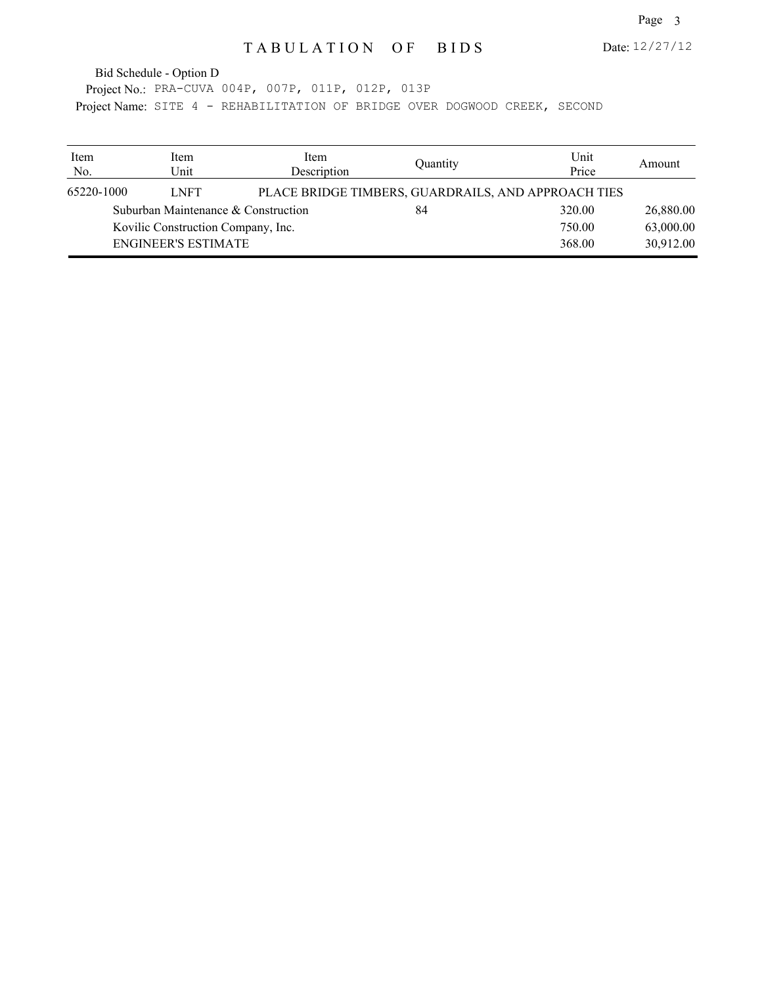Date: 12/27/12

Project No.: PRA-CUVA 004P, 007P, 011P, 012P, 013P Project Name: SITE 4 - REHABILITATION OF BRIDGE OVER DOGWOOD CREEK, SECOND Bid Schedule - Option D

| Item<br>No. | Item<br>Unit               | Item<br>Description                 | Quantity                                            | Unit<br>Price | Amount    |
|-------------|----------------------------|-------------------------------------|-----------------------------------------------------|---------------|-----------|
| 65220-1000  | <b>LNFT</b>                |                                     | PLACE BRIDGE TIMBERS, GUARDRAILS, AND APPROACH TIES |               |           |
|             |                            | Suburban Maintenance & Construction | 84                                                  | 320.00        | 26,880.00 |
|             |                            | Kovilic Construction Company, Inc.  |                                                     | 750.00        | 63,000.00 |
|             | <b>ENGINEER'S ESTIMATE</b> |                                     |                                                     | 368.00        | 30,912.00 |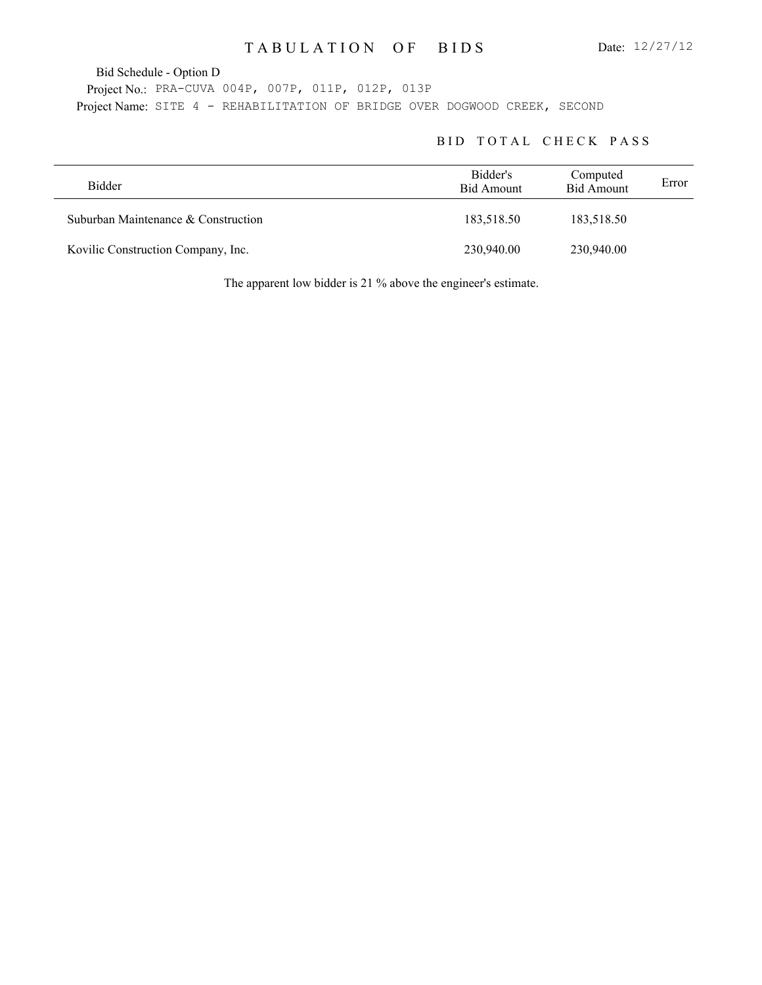Bid Schedule - Option D

Project No.: PRA-CUVA 004P, 007P, 011P, 012P, 013P Project Name: SITE 4 - REHABILITATION OF BRIDGE OVER DOGWOOD CREEK, SECOND

#### BID TOTAL CHECK PASS

| <b>Bidder</b>                       | Bidder's<br>Bid Amount | Computed<br><b>Bid Amount</b> | Error |
|-------------------------------------|------------------------|-------------------------------|-------|
| Suburban Maintenance & Construction | 183,518.50             | 183,518.50                    |       |
| Kovilic Construction Company, Inc.  | 230,940.00             | 230,940.00                    |       |

The apparent low bidder is 21 % above the engineer's estimate.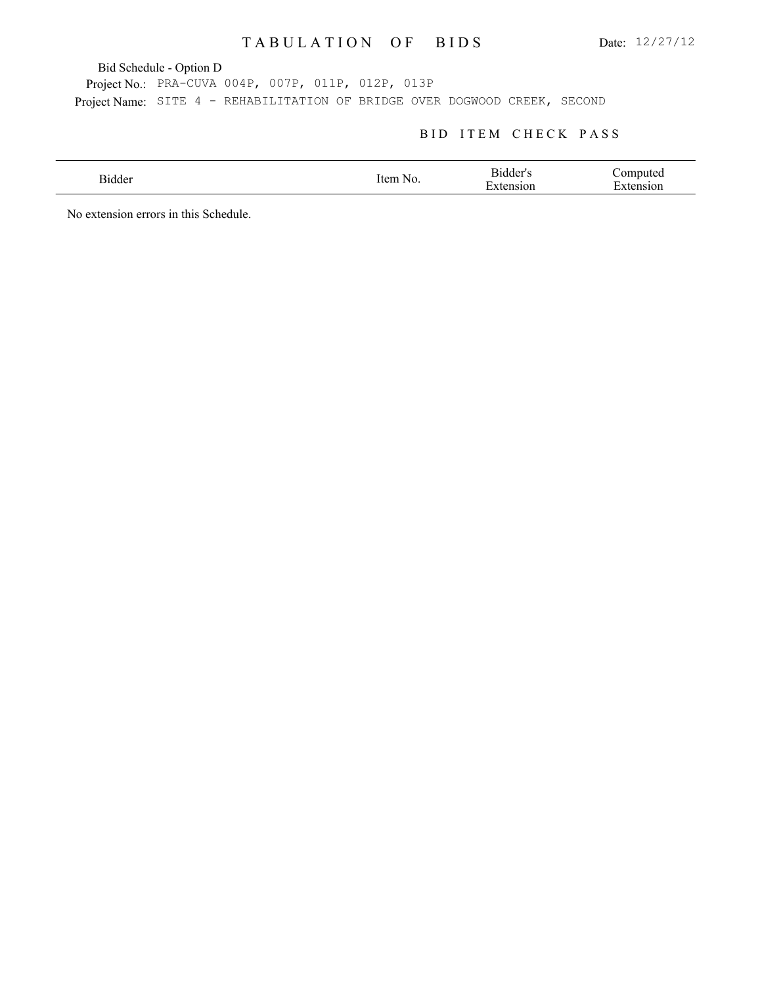Bid Schedule - Option D

Project No.: PRA-CUVA 004P, 007P, 011P, 012P, 013P Project Name: SITE 4 - REHABILITATION OF BRIDGE OVER DOGWOOD CREEK, SECOND

### BID ITEM CHECK PASS

| Bidder | ıtem<br>NO.<br>$\sim$ $\sim$ | - Bidder"<br>$\mathbf -$<br>10r | `omputed |
|--------|------------------------------|---------------------------------|----------|
|        |                              |                                 |          |

No extension errors in this Schedule.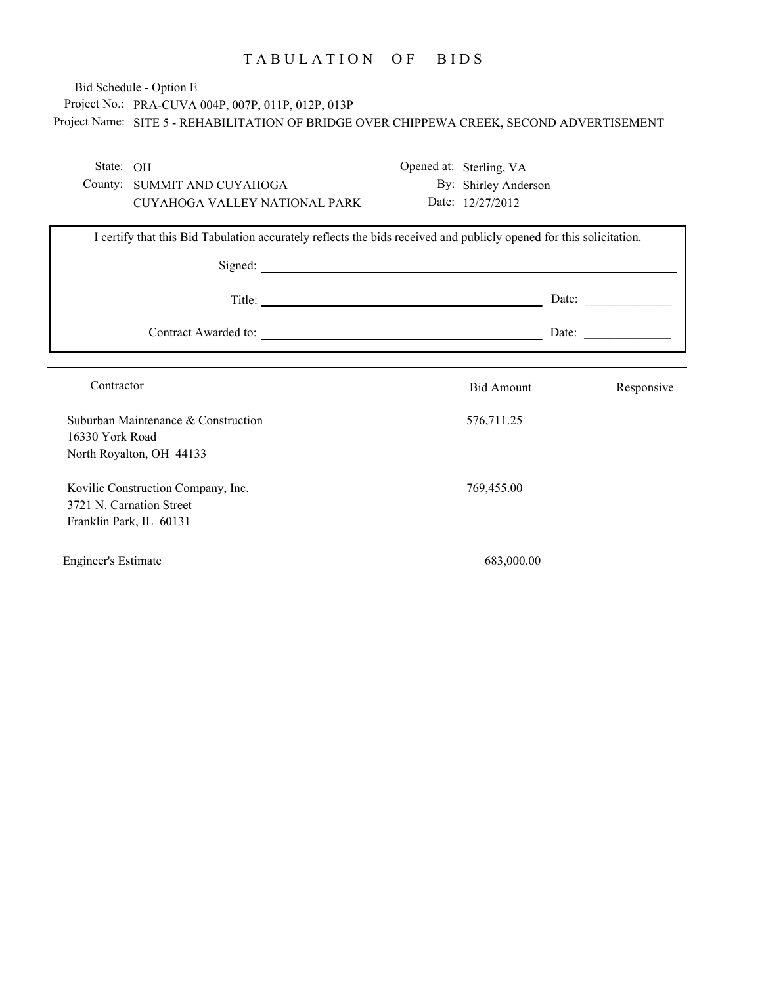# Project No.: PRA-CUVA 004P, 007P, 011P, 012P, 013P Project Name: SITE 5 - REHABILITATION OF BRIDGE OVER CHIPPEWA CREEK, SECOND ADVERTISEMENT Bid Schedule - Option E

| State: OH<br>County: SUMMIT AND CUYAHOGA                                                  |                                                                                                                     | Opened at: Sterling, VA<br>By: Shirley Anderson |                                                          |
|-------------------------------------------------------------------------------------------|---------------------------------------------------------------------------------------------------------------------|-------------------------------------------------|----------------------------------------------------------|
| CUYAHOGA VALLEY NATIONAL PARK                                                             |                                                                                                                     | Date: 12/27/2012                                |                                                          |
|                                                                                           | I certify that this Bid Tabulation accurately reflects the bids received and publicly opened for this solicitation. |                                                 |                                                          |
|                                                                                           |                                                                                                                     |                                                 |                                                          |
|                                                                                           | Title:                                                                                                              |                                                 | Date: $\qquad \qquad$                                    |
|                                                                                           |                                                                                                                     |                                                 | Date: $\frac{1}{\sqrt{1-\frac{1}{2}} \cdot \frac{1}{2}}$ |
| Contractor                                                                                |                                                                                                                     | <b>Bid Amount</b>                               | Responsive                                               |
| Suburban Maintenance & Construction<br>16330 York Road<br>North Royalton, OH 44133        |                                                                                                                     | 576,711.25                                      |                                                          |
| Kovilic Construction Company, Inc.<br>3721 N. Carnation Street<br>Franklin Park, IL 60131 |                                                                                                                     | 769,455.00                                      |                                                          |
| <b>Engineer's Estimate</b>                                                                |                                                                                                                     | 683,000.00                                      |                                                          |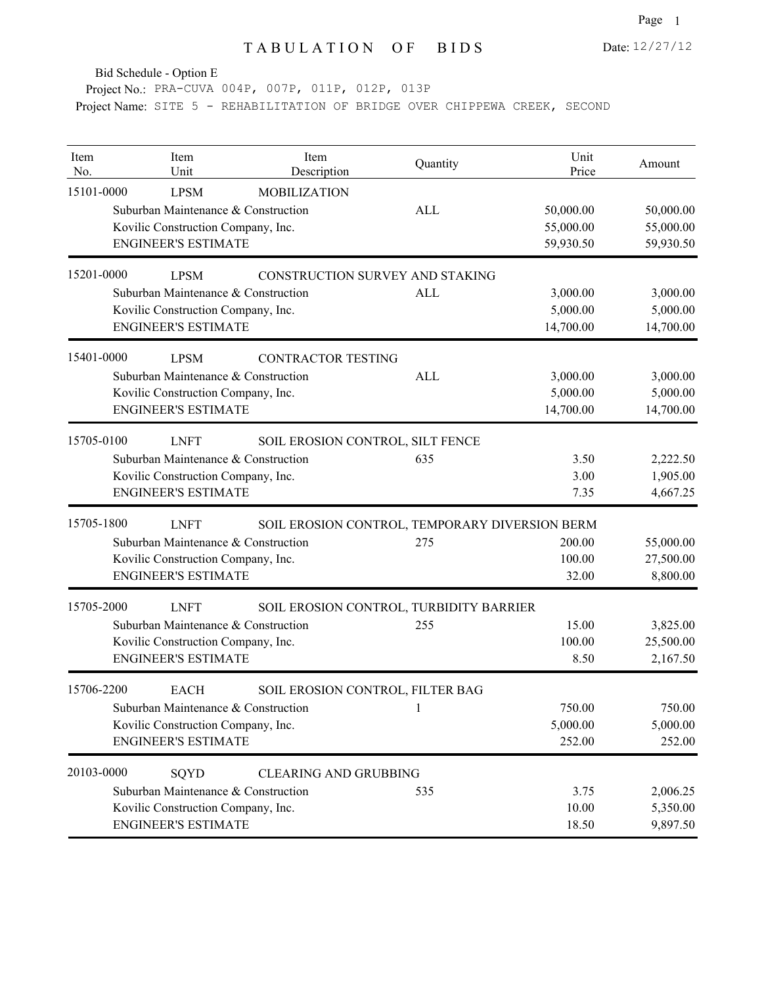Date: 12/27/12

Bid Schedule - Option E

Project No.: PRA-CUVA 004P, 007P, 011P, 012P, 013P Project Name: SITE 5 - REHABILITATION OF BRIDGE OVER CHIPPEWA CREEK, SECOND

| Item<br>No. | Item<br>Unit                                       | Item<br>Description                            | Quantity   | Unit<br>Price | Amount    |
|-------------|----------------------------------------------------|------------------------------------------------|------------|---------------|-----------|
| 15101-0000  | <b>LPSM</b><br>Suburban Maintenance & Construction | <b>MOBILIZATION</b>                            | ALL        | 50,000.00     | 50,000.00 |
|             | Kovilic Construction Company, Inc.                 |                                                |            | 55,000.00     | 55,000.00 |
|             | <b>ENGINEER'S ESTIMATE</b>                         |                                                |            | 59,930.50     | 59,930.50 |
| 15201-0000  | <b>LPSM</b>                                        | CONSTRUCTION SURVEY AND STAKING                |            |               |           |
|             | Suburban Maintenance & Construction                |                                                | <b>ALL</b> | 3,000.00      | 3,000.00  |
|             | Kovilic Construction Company, Inc.                 |                                                |            | 5,000.00      | 5,000.00  |
|             | <b>ENGINEER'S ESTIMATE</b>                         |                                                |            | 14,700.00     | 14,700.00 |
| 15401-0000  | <b>LPSM</b>                                        | <b>CONTRACTOR TESTING</b>                      |            |               |           |
|             | Suburban Maintenance & Construction                |                                                | ALL        | 3,000.00      | 3,000.00  |
|             | Kovilic Construction Company, Inc.                 |                                                |            | 5,000.00      | 5,000.00  |
|             | <b>ENGINEER'S ESTIMATE</b>                         |                                                |            | 14,700.00     | 14,700.00 |
| 15705-0100  | <b>LNFT</b>                                        | SOIL EROSION CONTROL, SILT FENCE               |            |               |           |
|             | Suburban Maintenance & Construction                |                                                | 635        | 3.50          | 2,222.50  |
|             | Kovilic Construction Company, Inc.                 |                                                |            | 3.00          | 1,905.00  |
|             | <b>ENGINEER'S ESTIMATE</b>                         |                                                |            | 7.35          | 4,667.25  |
| 15705-1800  | <b>LNFT</b>                                        | SOIL EROSION CONTROL, TEMPORARY DIVERSION BERM |            |               |           |
|             | Suburban Maintenance & Construction                |                                                | 275        | 200.00        | 55,000.00 |
|             | Kovilic Construction Company, Inc.                 |                                                |            | 100.00        | 27,500.00 |
|             | <b>ENGINEER'S ESTIMATE</b>                         |                                                |            | 32.00         | 8,800.00  |
| 15705-2000  | <b>LNFT</b>                                        | SOIL EROSION CONTROL, TURBIDITY BARRIER        |            |               |           |
|             | Suburban Maintenance & Construction                |                                                | 255        | 15.00         | 3,825.00  |
|             | Kovilic Construction Company, Inc.                 |                                                |            | 100.00        | 25,500.00 |
|             | <b>ENGINEER'S ESTIMATE</b>                         |                                                |            | 8.50          | 2,167.50  |
| 15706-2200  | <b>EACH</b>                                        | SOIL EROSION CONTROL, FILTER BAG               |            |               |           |
|             | Suburban Maintenance & Construction                |                                                | $\perp$    | 750.00        | 750.00    |
|             | Kovilic Construction Company, Inc.                 |                                                |            | 5,000.00      | 5,000.00  |
|             | <b>ENGINEER'S ESTIMATE</b>                         |                                                |            | 252.00        | 252.00    |
| 20103-0000  | SQYD                                               | <b>CLEARING AND GRUBBING</b>                   |            |               |           |
|             | Suburban Maintenance & Construction                |                                                | 535        | 3.75          | 2,006.25  |
|             | Kovilic Construction Company, Inc.                 |                                                |            | 10.00         | 5,350.00  |
|             | <b>ENGINEER'S ESTIMATE</b>                         |                                                |            | 18.50         | 9,897.50  |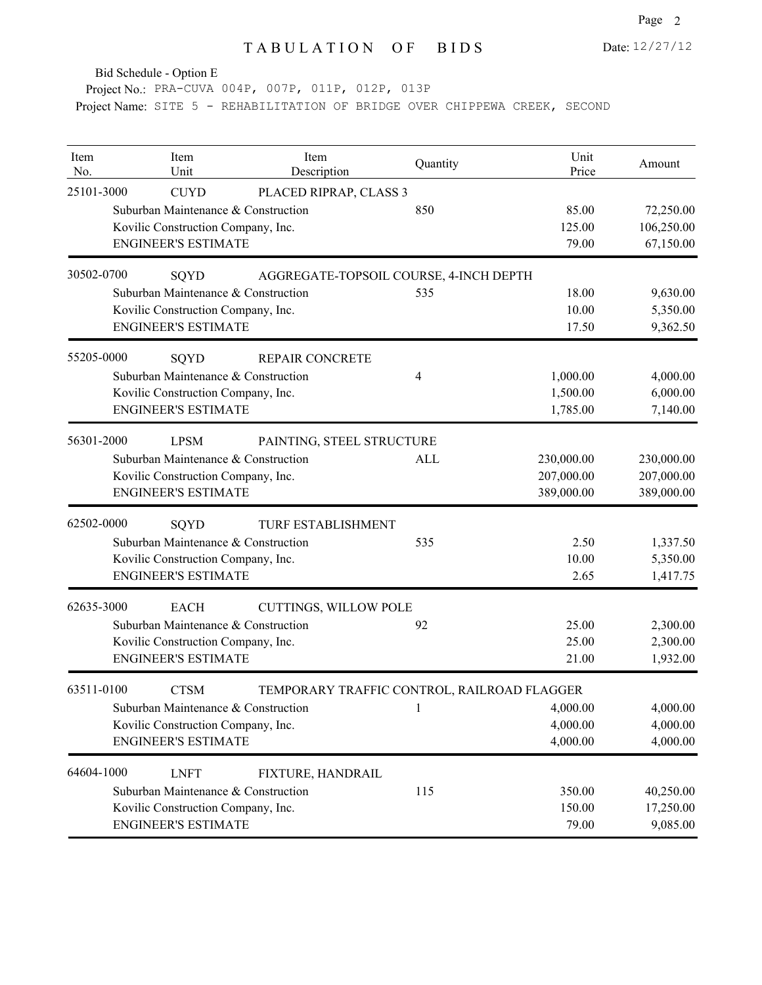Bid Schedule - Option E

Project No.: PRA-CUVA 004P, 007P, 011P, 012P, 013P Project Name: SITE 5 - REHABILITATION OF BRIDGE OVER CHIPPEWA CREEK, SECOND

| Item<br>No. | Item<br>Unit                                                                                                           | Item<br>Description                         | Quantity | Unit<br>Price                          | Amount                                 |
|-------------|------------------------------------------------------------------------------------------------------------------------|---------------------------------------------|----------|----------------------------------------|----------------------------------------|
| 25101-3000  | <b>CUYD</b><br>Suburban Maintenance & Construction<br>Kovilic Construction Company, Inc.<br><b>ENGINEER'S ESTIMATE</b> | PLACED RIPRAP, CLASS 3                      | 850      | 85.00<br>125.00<br>79.00               | 72,250.00<br>106,250.00<br>67,150.00   |
| 30502-0700  | SQYD                                                                                                                   | AGGREGATE-TOPSOIL COURSE, 4-INCH DEPTH      |          |                                        |                                        |
|             | Suburban Maintenance & Construction<br>Kovilic Construction Company, Inc.<br><b>ENGINEER'S ESTIMATE</b>                |                                             | 535      | 18.00<br>10.00<br>17.50                | 9,630.00<br>5,350.00<br>9,362.50       |
| 55205-0000  | SQYD<br>Suburban Maintenance & Construction<br>Kovilic Construction Company, Inc.<br><b>ENGINEER'S ESTIMATE</b>        | <b>REPAIR CONCRETE</b>                      | 4        | 1,000.00<br>1,500.00<br>1,785.00       | 4,000.00<br>6,000.00<br>7,140.00       |
| 56301-2000  | <b>LPSM</b><br>Suburban Maintenance & Construction<br>Kovilic Construction Company, Inc.<br><b>ENGINEER'S ESTIMATE</b> | PAINTING, STEEL STRUCTURE                   | ALL      | 230,000.00<br>207,000.00<br>389,000.00 | 230,000.00<br>207,000.00<br>389,000.00 |
| 62502-0000  | SQYD<br>Suburban Maintenance & Construction<br>Kovilic Construction Company, Inc.<br><b>ENGINEER'S ESTIMATE</b>        | TURF ESTABLISHMENT                          | 535      | 2.50<br>10.00<br>2.65                  | 1,337.50<br>5,350.00<br>1,417.75       |
| 62635-3000  | <b>EACH</b><br>Suburban Maintenance & Construction<br>Kovilic Construction Company, Inc.<br><b>ENGINEER'S ESTIMATE</b> | CUTTINGS, WILLOW POLE                       | 92       | 25.00<br>25.00<br>21.00                | 2,300.00<br>2,300.00<br>1,932.00       |
| 63511-0100  | <b>CTSM</b><br>Suburban Maintenance & Construction<br>Kovilic Construction Company, Inc.<br><b>ENGINEER'S ESTIMATE</b> | TEMPORARY TRAFFIC CONTROL, RAILROAD FLAGGER | 1        | 4,000.00<br>4,000.00<br>4,000.00       | 4,000.00<br>4,000.00<br>4,000.00       |
| 64604-1000  | <b>LNFT</b><br>Suburban Maintenance & Construction<br>Kovilic Construction Company, Inc.<br><b>ENGINEER'S ESTIMATE</b> | FIXTURE, HANDRAIL                           | 115      | 350.00<br>150.00<br>79.00              | 40,250.00<br>17,250.00<br>9,085.00     |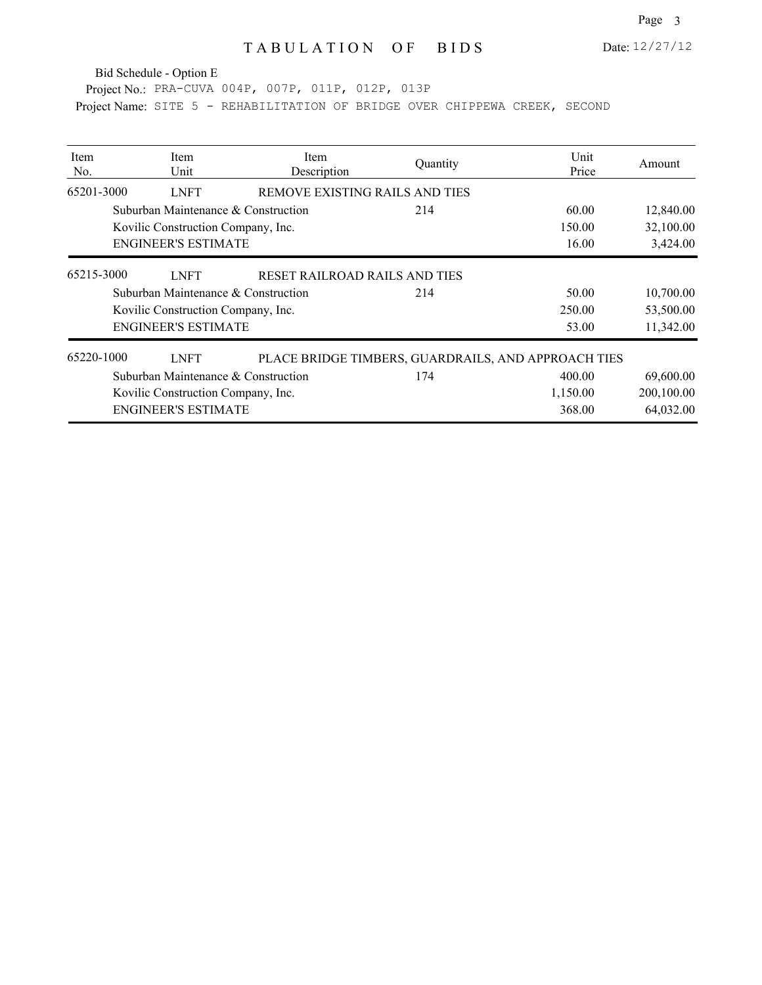Date: 12/27/12

Bid Schedule - Option E

Project No.: PRA-CUVA 004P, 007P, 011P, 012P, 013P Project Name: SITE 5 - REHABILITATION OF BRIDGE OVER CHIPPEWA CREEK, SECOND

| <b>Item</b><br>No. | Item<br>Unit                        | <b>Item</b><br>Description     | Quantity                                            | Unit<br>Price | Amount     |
|--------------------|-------------------------------------|--------------------------------|-----------------------------------------------------|---------------|------------|
| 65201-3000         | <b>LNFT</b>                         | REMOVE EXISTING RAILS AND TIES |                                                     |               |            |
|                    | Suburban Maintenance & Construction |                                | 214                                                 | 60.00         | 12,840.00  |
|                    | Kovilic Construction Company, Inc.  |                                |                                                     | 150.00        | 32,100.00  |
|                    | <b>ENGINEER'S ESTIMATE</b>          |                                |                                                     | 16.00         | 3,424.00   |
| 65215-3000         | <b>LNFT</b>                         | RESET RAILROAD RAILS AND TIES  |                                                     |               |            |
|                    | Suburban Maintenance & Construction |                                | 214                                                 | 50.00         | 10,700.00  |
|                    | Kovilic Construction Company, Inc.  |                                |                                                     | 250.00        | 53,500.00  |
|                    | <b>ENGINEER'S ESTIMATE</b>          |                                |                                                     | 53.00         | 11,342.00  |
| 65220-1000         | <b>LNFT</b>                         |                                | PLACE BRIDGE TIMBERS, GUARDRAILS, AND APPROACH TIES |               |            |
|                    | Suburban Maintenance & Construction |                                | 174                                                 | 400.00        | 69,600.00  |
|                    | Kovilic Construction Company, Inc.  |                                |                                                     | 1,150.00      | 200,100.00 |
|                    | <b>ENGINEER'S ESTIMATE</b>          |                                |                                                     | 368.00        | 64,032.00  |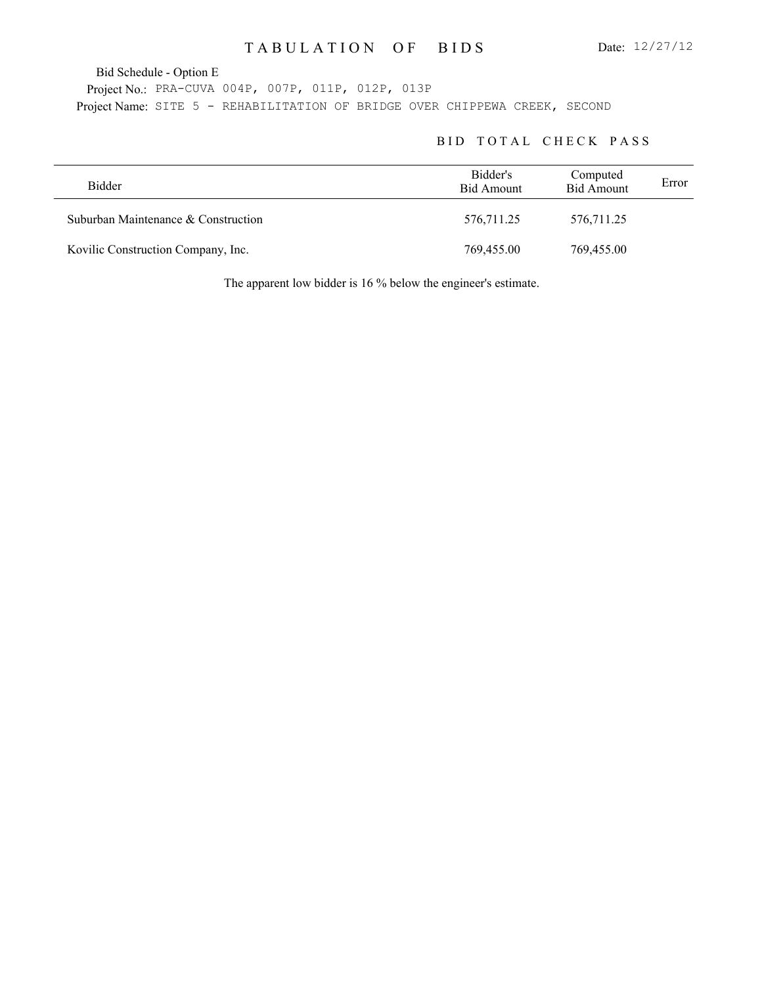Bid Schedule - Option E

Project No.: PRA-CUVA 004P, 007P, 011P, 012P, 013P Project Name: SITE 5 - REHABILITATION OF BRIDGE OVER CHIPPEWA CREEK, SECOND

#### BID TOTAL CHECK PASS

| Bidder                              | Bidder's<br>Bid Amount | Computed<br><b>Bid Amount</b> | Error |
|-------------------------------------|------------------------|-------------------------------|-------|
| Suburban Maintenance & Construction | 576,711.25             | 576,711.25                    |       |
| Kovilic Construction Company, Inc.  | 769,455.00             | 769,455.00                    |       |

The apparent low bidder is 16 % below the engineer's estimate.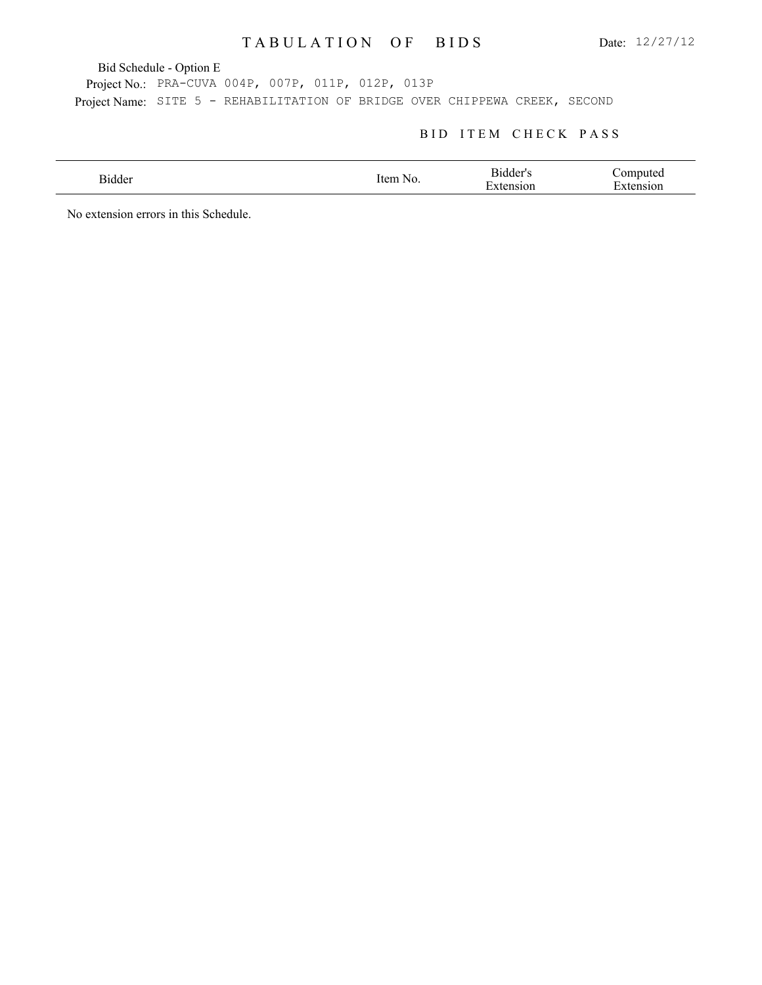Bid Schedule - Option E

Project No.: PRA-CUVA 004P, 007P, 011P, 012P, 013P Project Name: SITE 5 - REHABILITATION OF BRIDGE OVER CHIPPEWA CREEK, SECOND

#### BID ITEM CHECK PASS

| sidder | .tem<br>N <sub>C</sub><br>$\sim$ $\sim$ $\sim$ | - Bidder'<br>- 11<br>$\overline{\phantom{0}}$<br>١O٢ | ,,,,,,,<br>м. |
|--------|------------------------------------------------|------------------------------------------------------|---------------|
|        |                                                |                                                      |               |

No extension errors in this Schedule.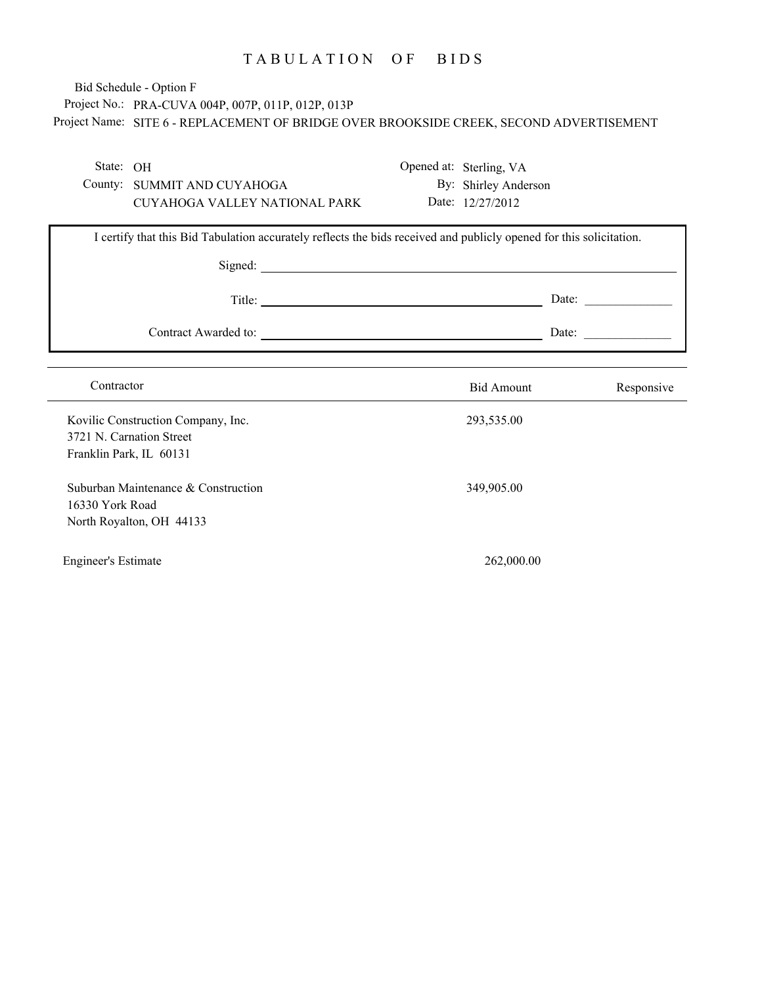# Project No.: PRA-CUVA 004P, 007P, 011P, 012P, 013P Project Name: SITE 6 - REPLACEMENT OF BRIDGE OVER BROOKSIDE CREEK, SECOND ADVERTISEMENT Bid Schedule - Option F

| State: OH                                           |                                                                 |                                                                                                                     | Opened at: Sterling, VA |                                                          |
|-----------------------------------------------------|-----------------------------------------------------------------|---------------------------------------------------------------------------------------------------------------------|-------------------------|----------------------------------------------------------|
|                                                     | County: SUMMIT AND CUYAHOGA                                     |                                                                                                                     | By: Shirley Anderson    |                                                          |
|                                                     | CUYAHOGA VALLEY NATIONAL PARK                                   |                                                                                                                     | Date: 12/27/2012        |                                                          |
|                                                     |                                                                 | I certify that this Bid Tabulation accurately reflects the bids received and publicly opened for this solicitation. |                         |                                                          |
|                                                     |                                                                 |                                                                                                                     |                         | Date:                                                    |
|                                                     |                                                                 | Contract Awarded to:                                                                                                |                         | Date: $\frac{1}{\sqrt{1-\frac{1}{2}} \cdot \frac{1}{2}}$ |
|                                                     |                                                                 |                                                                                                                     |                         |                                                          |
| Contractor                                          |                                                                 |                                                                                                                     | <b>Bid Amount</b>       | Responsive                                               |
| 3721 N. Carnation Street<br>Franklin Park, IL 60131 | Kovilic Construction Company, Inc.                              |                                                                                                                     | 293,535.00              |                                                          |
| 16330 York Road                                     | Suburban Maintenance & Construction<br>North Royalton, OH 44133 |                                                                                                                     | 349,905.00              |                                                          |
| <b>Engineer's Estimate</b>                          |                                                                 |                                                                                                                     | 262,000.00              |                                                          |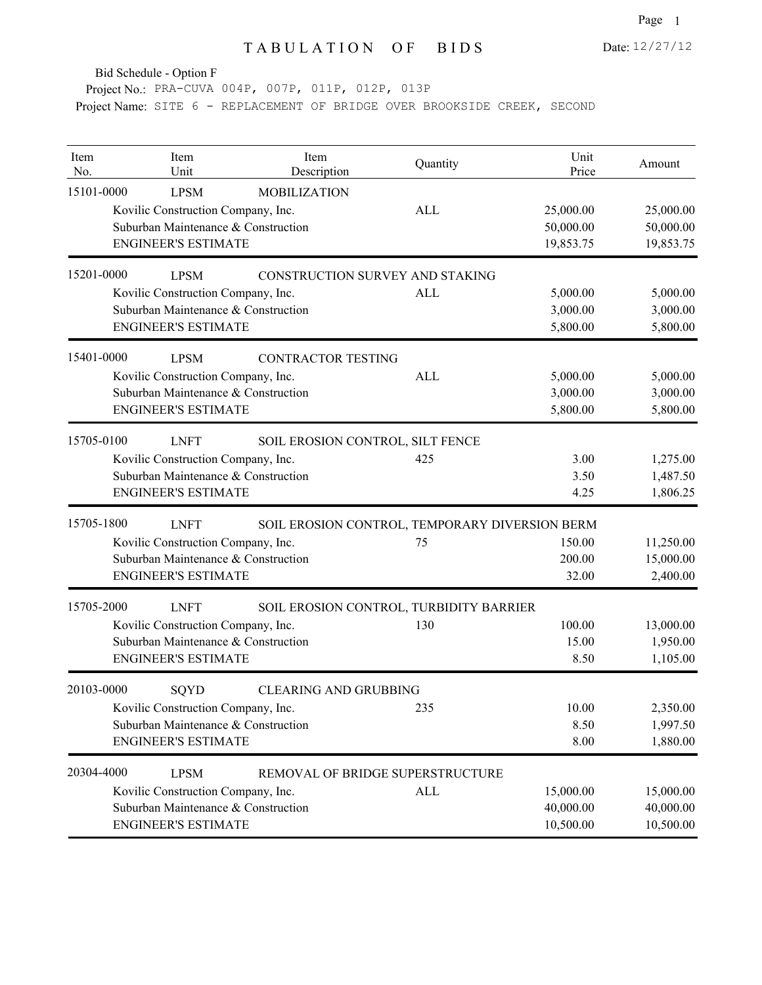Bid Schedule - Option F

Project No.: PRA-CUVA 004P, 007P, 011P, 012P, 013P Project Name: SITE 6 - REPLACEMENT OF BRIDGE OVER BROOKSIDE CREEK, SECOND

| Item<br>No. | Item<br>Unit                        | Item<br>Description                            | Quantity   | Unit<br>Price | Amount    |
|-------------|-------------------------------------|------------------------------------------------|------------|---------------|-----------|
| 15101-0000  | <b>LPSM</b>                         | <b>MOBILIZATION</b>                            |            |               |           |
|             | Kovilic Construction Company, Inc.  |                                                | ALL        | 25,000.00     | 25,000.00 |
|             | Suburban Maintenance & Construction |                                                |            | 50,000.00     | 50,000.00 |
|             | <b>ENGINEER'S ESTIMATE</b>          |                                                |            | 19,853.75     | 19,853.75 |
| 15201-0000  | <b>LPSM</b>                         | CONSTRUCTION SURVEY AND STAKING                |            |               |           |
|             | Kovilic Construction Company, Inc.  |                                                | <b>ALL</b> | 5,000.00      | 5,000.00  |
|             | Suburban Maintenance & Construction |                                                |            | 3,000.00      | 3,000.00  |
|             | <b>ENGINEER'S ESTIMATE</b>          |                                                |            | 5,800.00      | 5,800.00  |
| 15401-0000  | <b>LPSM</b>                         | <b>CONTRACTOR TESTING</b>                      |            |               |           |
|             | Kovilic Construction Company, Inc.  |                                                | <b>ALL</b> | 5,000.00      | 5,000.00  |
|             | Suburban Maintenance & Construction |                                                |            | 3,000.00      | 3,000.00  |
|             | <b>ENGINEER'S ESTIMATE</b>          |                                                |            | 5,800.00      | 5,800.00  |
| 15705-0100  | <b>LNFT</b>                         | SOIL EROSION CONTROL, SILT FENCE               |            |               |           |
|             | Kovilic Construction Company, Inc.  |                                                | 425        | 3.00          | 1,275.00  |
|             | Suburban Maintenance & Construction |                                                |            | 3.50          | 1,487.50  |
|             | <b>ENGINEER'S ESTIMATE</b>          |                                                |            | 4.25          | 1,806.25  |
| 15705-1800  | <b>LNFT</b>                         | SOIL EROSION CONTROL, TEMPORARY DIVERSION BERM |            |               |           |
|             | Kovilic Construction Company, Inc.  |                                                | 75         | 150.00        | 11,250.00 |
|             | Suburban Maintenance & Construction |                                                |            | 200.00        | 15,000.00 |
|             | <b>ENGINEER'S ESTIMATE</b>          |                                                |            | 32.00         | 2,400.00  |
| 15705-2000  | <b>LNFT</b>                         | SOIL EROSION CONTROL, TURBIDITY BARRIER        |            |               |           |
|             | Kovilic Construction Company, Inc.  |                                                | 130        | 100.00        | 13,000.00 |
|             | Suburban Maintenance & Construction |                                                |            | 15.00         | 1,950.00  |
|             | <b>ENGINEER'S ESTIMATE</b>          |                                                |            | 8.50          | 1,105.00  |
| 20103-0000  | SQYD                                | <b>CLEARING AND GRUBBING</b>                   |            |               |           |
|             | Kovilic Construction Company, Inc.  |                                                | 235        | 10.00         | 2,350.00  |
|             | Suburban Maintenance & Construction |                                                |            | 8.50          | 1,997.50  |
|             | <b>ENGINEER'S ESTIMATE</b>          |                                                |            | 8.00          | 1,880.00  |
| 20304-4000  | <b>LPSM</b>                         | REMOVAL OF BRIDGE SUPERSTRUCTURE               |            |               |           |
|             | Kovilic Construction Company, Inc.  |                                                | <b>ALL</b> | 15,000.00     | 15,000.00 |
|             | Suburban Maintenance & Construction |                                                |            | 40,000.00     | 40,000.00 |
|             | <b>ENGINEER'S ESTIMATE</b>          |                                                |            | 10,500.00     | 10,500.00 |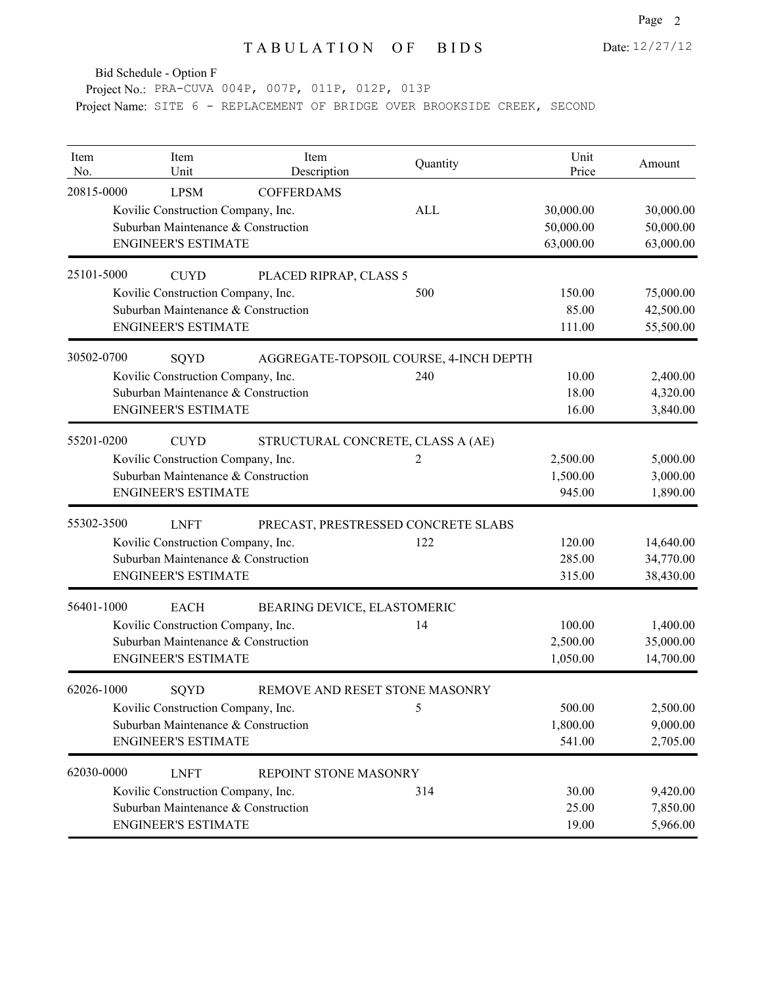Bid Schedule - Option F

Project No.: PRA-CUVA 004P, 007P, 011P, 012P, 013P Project Name: SITE 6 - REPLACEMENT OF BRIDGE OVER BROOKSIDE CREEK, SECOND

| Item<br>No. | Item<br>Unit                                                                                                           | Item<br>Description                    | Quantity   | Unit<br>Price                       | Amount                              |
|-------------|------------------------------------------------------------------------------------------------------------------------|----------------------------------------|------------|-------------------------------------|-------------------------------------|
| 20815-0000  | <b>LPSM</b><br>Kovilic Construction Company, Inc.<br>Suburban Maintenance & Construction<br><b>ENGINEER'S ESTIMATE</b> | <b>COFFERDAMS</b>                      | <b>ALL</b> | 30,000.00<br>50,000.00<br>63,000.00 | 30,000.00<br>50,000.00<br>63,000.00 |
| 25101-5000  | <b>CUYD</b><br>Kovilic Construction Company, Inc.<br>Suburban Maintenance & Construction<br><b>ENGINEER'S ESTIMATE</b> | PLACED RIPRAP, CLASS 5                 | 500        | 150.00<br>85.00<br>111.00           | 75,000.00<br>42,500.00<br>55,500.00 |
| 30502-0700  | SQYD<br>Kovilic Construction Company, Inc.<br>Suburban Maintenance & Construction<br><b>ENGINEER'S ESTIMATE</b>        | AGGREGATE-TOPSOIL COURSE, 4-INCH DEPTH | 240        | 10.00<br>18.00<br>16.00             | 2,400.00<br>4,320.00<br>3,840.00    |
| 55201-0200  | <b>CUYD</b><br>Kovilic Construction Company, Inc.<br>Suburban Maintenance & Construction<br><b>ENGINEER'S ESTIMATE</b> | STRUCTURAL CONCRETE, CLASS A (AE)      | 2          | 2,500.00<br>1,500.00<br>945.00      | 5,000.00<br>3,000.00<br>1,890.00    |
| 55302-3500  | <b>LNFT</b><br>Kovilic Construction Company, Inc.<br>Suburban Maintenance & Construction<br><b>ENGINEER'S ESTIMATE</b> | PRECAST, PRESTRESSED CONCRETE SLABS    | 122        | 120.00<br>285.00<br>315.00          | 14,640.00<br>34,770.00<br>38,430.00 |
| 56401-1000  | <b>EACH</b><br>Kovilic Construction Company, Inc.<br>Suburban Maintenance & Construction<br><b>ENGINEER'S ESTIMATE</b> | BEARING DEVICE, ELASTOMERIC            | 14         | 100.00<br>2,500.00<br>1,050.00      | 1,400.00<br>35,000.00<br>14,700.00  |
| 62026-1000  | SQYD<br>Kovilic Construction Company, Inc.<br>Suburban Maintenance & Construction<br><b>ENGINEER'S ESTIMATE</b>        | REMOVE AND RESET STONE MASONRY         | 5          | 500.00<br>1,800.00<br>541.00        | 2,500.00<br>9,000.00<br>2,705.00    |
| 62030-0000  | <b>LNFT</b><br>Kovilic Construction Company, Inc.<br>Suburban Maintenance & Construction<br><b>ENGINEER'S ESTIMATE</b> | REPOINT STONE MASONRY                  | 314        | 30.00<br>25.00<br>19.00             | 9,420.00<br>7,850.00<br>5,966.00    |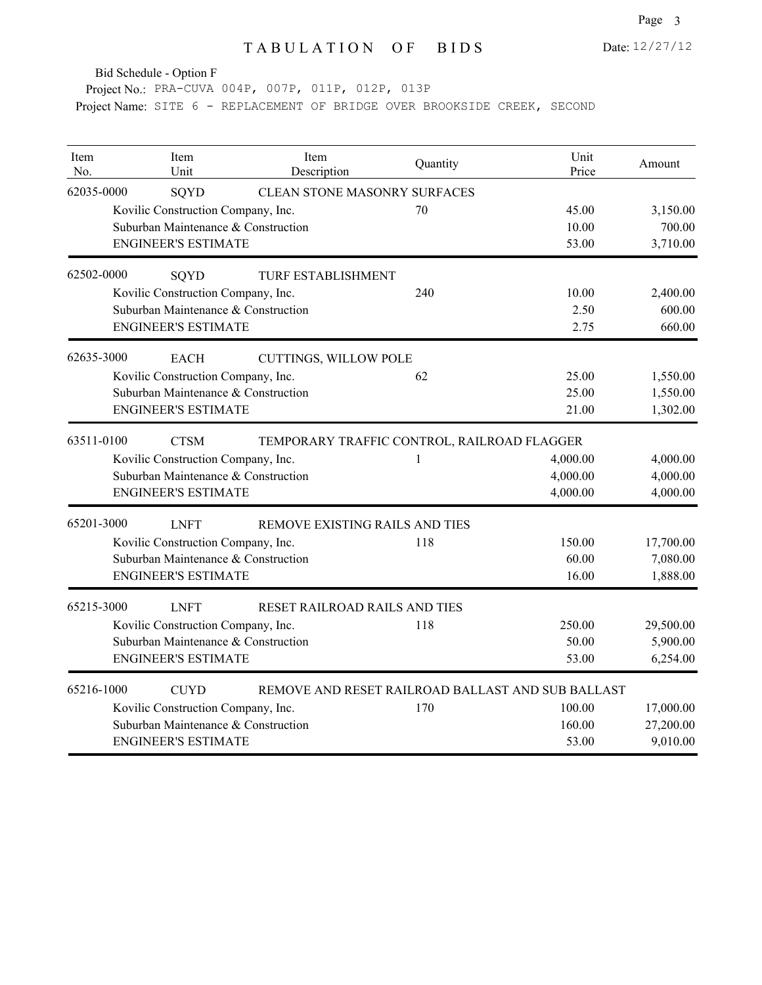Date: 12/27/12

Bid Schedule - Option F

Project No.: PRA-CUVA 004P, 007P, 011P, 012P, 013P Project Name: SITE 6 - REPLACEMENT OF BRIDGE OVER BROOKSIDE CREEK, SECOND

| Item<br>No. | Item<br>Unit                        | Item<br>Description            | Quantity                                          | Unit<br>Price | Amount    |
|-------------|-------------------------------------|--------------------------------|---------------------------------------------------|---------------|-----------|
| 62035-0000  | SQYD                                | CLEAN STONE MASONRY SURFACES   |                                                   |               |           |
|             | Kovilic Construction Company, Inc.  |                                | 70                                                | 45.00         | 3,150.00  |
|             | Suburban Maintenance & Construction |                                |                                                   | 10.00         | 700.00    |
|             | <b>ENGINEER'S ESTIMATE</b>          |                                |                                                   | 53.00         | 3,710.00  |
| 62502-0000  | SQYD                                | <b>TURF ESTABLISHMENT</b>      |                                                   |               |           |
|             | Kovilic Construction Company, Inc.  |                                | 240                                               | 10.00         | 2,400.00  |
|             | Suburban Maintenance & Construction |                                |                                                   | 2.50          | 600.00    |
|             | <b>ENGINEER'S ESTIMATE</b>          |                                |                                                   | 2.75          | 660.00    |
| 62635-3000  | <b>EACH</b>                         | CUTTINGS, WILLOW POLE          |                                                   |               |           |
|             | Kovilic Construction Company, Inc.  |                                | 62                                                | 25.00         | 1,550.00  |
|             | Suburban Maintenance & Construction |                                |                                                   | 25.00         | 1,550.00  |
|             | <b>ENGINEER'S ESTIMATE</b>          |                                |                                                   | 21.00         | 1,302.00  |
| 63511-0100  | <b>CTSM</b>                         |                                | TEMPORARY TRAFFIC CONTROL, RAILROAD FLAGGER       |               |           |
|             | Kovilic Construction Company, Inc.  |                                | 1                                                 | 4,000.00      | 4,000.00  |
|             | Suburban Maintenance & Construction |                                |                                                   | 4,000.00      | 4,000.00  |
|             | <b>ENGINEER'S ESTIMATE</b>          |                                |                                                   | 4,000.00      | 4,000.00  |
| 65201-3000  | <b>LNFT</b>                         | REMOVE EXISTING RAILS AND TIES |                                                   |               |           |
|             | Kovilic Construction Company, Inc.  |                                | 118                                               | 150.00        | 17,700.00 |
|             | Suburban Maintenance & Construction |                                |                                                   | 60.00         | 7,080.00  |
|             | <b>ENGINEER'S ESTIMATE</b>          |                                |                                                   | 16.00         | 1,888.00  |
| 65215-3000  | <b>LNFT</b>                         | RESET RAILROAD RAILS AND TIES  |                                                   |               |           |
|             | Kovilic Construction Company, Inc.  |                                | 118                                               | 250.00        | 29,500.00 |
|             | Suburban Maintenance & Construction |                                |                                                   | 50.00         | 5,900.00  |
|             | <b>ENGINEER'S ESTIMATE</b>          |                                |                                                   | 53.00         | 6,254.00  |
| 65216-1000  | <b>CUYD</b>                         |                                | REMOVE AND RESET RAILROAD BALLAST AND SUB BALLAST |               |           |
|             | Kovilic Construction Company, Inc.  |                                | 170                                               | 100.00        | 17,000.00 |
|             | Suburban Maintenance & Construction |                                |                                                   | 160.00        | 27,200.00 |
|             | <b>ENGINEER'S ESTIMATE</b>          |                                |                                                   | 53.00         | 9,010.00  |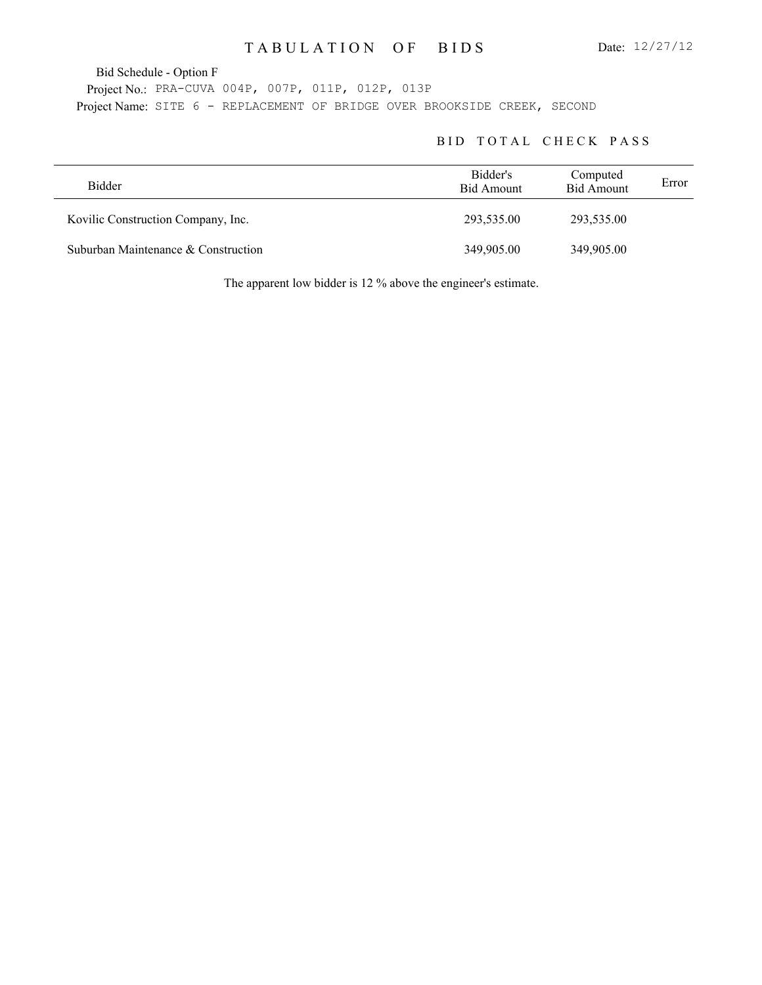Bid Schedule - Option F

Project No.: PRA-CUVA 004P, 007P, 011P, 012P, 013P Project Name: SITE 6 - REPLACEMENT OF BRIDGE OVER BROOKSIDE CREEK, SECOND

#### BID TOTAL CHECK PASS

| <b>Bidder</b>                       | Bidder's<br>Bid Amount | Computed<br><b>Bid Amount</b> | Error |
|-------------------------------------|------------------------|-------------------------------|-------|
| Kovilic Construction Company, Inc.  | 293,535.00             | 293,535.00                    |       |
| Suburban Maintenance & Construction | 349,905.00             | 349,905.00                    |       |

The apparent low bidder is 12 % above the engineer's estimate.